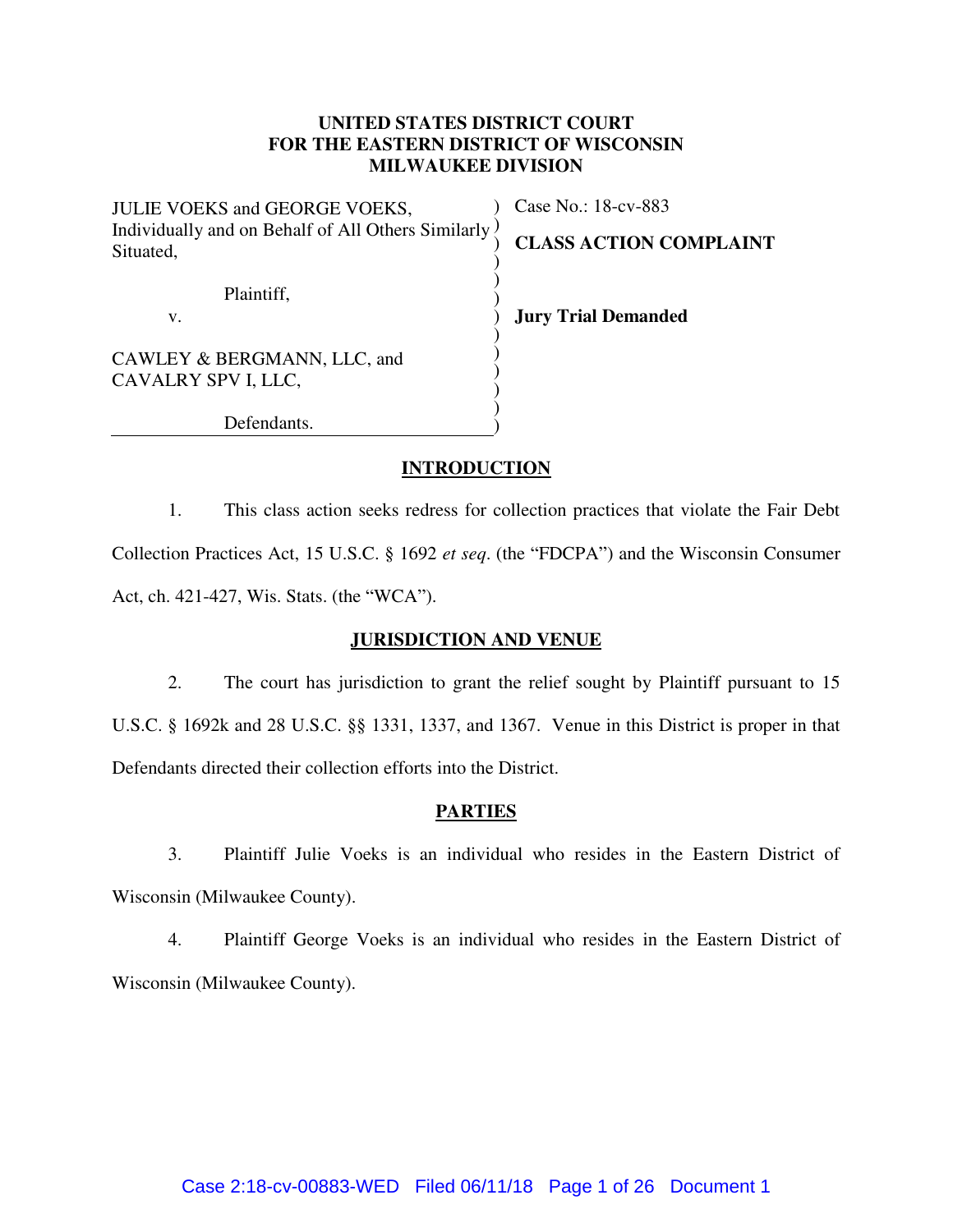# **UNITED STATES DISTRICT COURT FOR THE EASTERN DISTRICT OF WISCONSIN MILWAUKEE DIVISION**

| JULIE VOEKS and GEORGE VOEKS,                                   | Case No.: 18-cv-883           |
|-----------------------------------------------------------------|-------------------------------|
| Individually and on Behalf of All Others Similarly<br>Situated, | <b>CLASS ACTION COMPLAINT</b> |
| Plaintiff,                                                      |                               |
| v.                                                              | <b>Jury Trial Demanded</b>    |
| CAWLEY & BERGMANN, LLC, and                                     |                               |
| CAVALRY SPV I, LLC,                                             |                               |
| Defendants.                                                     |                               |

# **INTRODUCTION**

1. This class action seeks redress for collection practices that violate the Fair Debt Collection Practices Act, 15 U.S.C. § 1692 *et seq*. (the "FDCPA") and the Wisconsin Consumer Act, ch. 421-427, Wis. Stats. (the "WCA").

### **JURISDICTION AND VENUE**

2. The court has jurisdiction to grant the relief sought by Plaintiff pursuant to 15 U.S.C. § 1692k and 28 U.S.C. §§ 1331, 1337, and 1367. Venue in this District is proper in that Defendants directed their collection efforts into the District.

## **PARTIES**

3. Plaintiff Julie Voeks is an individual who resides in the Eastern District of Wisconsin (Milwaukee County).

4. Plaintiff George Voeks is an individual who resides in the Eastern District of Wisconsin (Milwaukee County).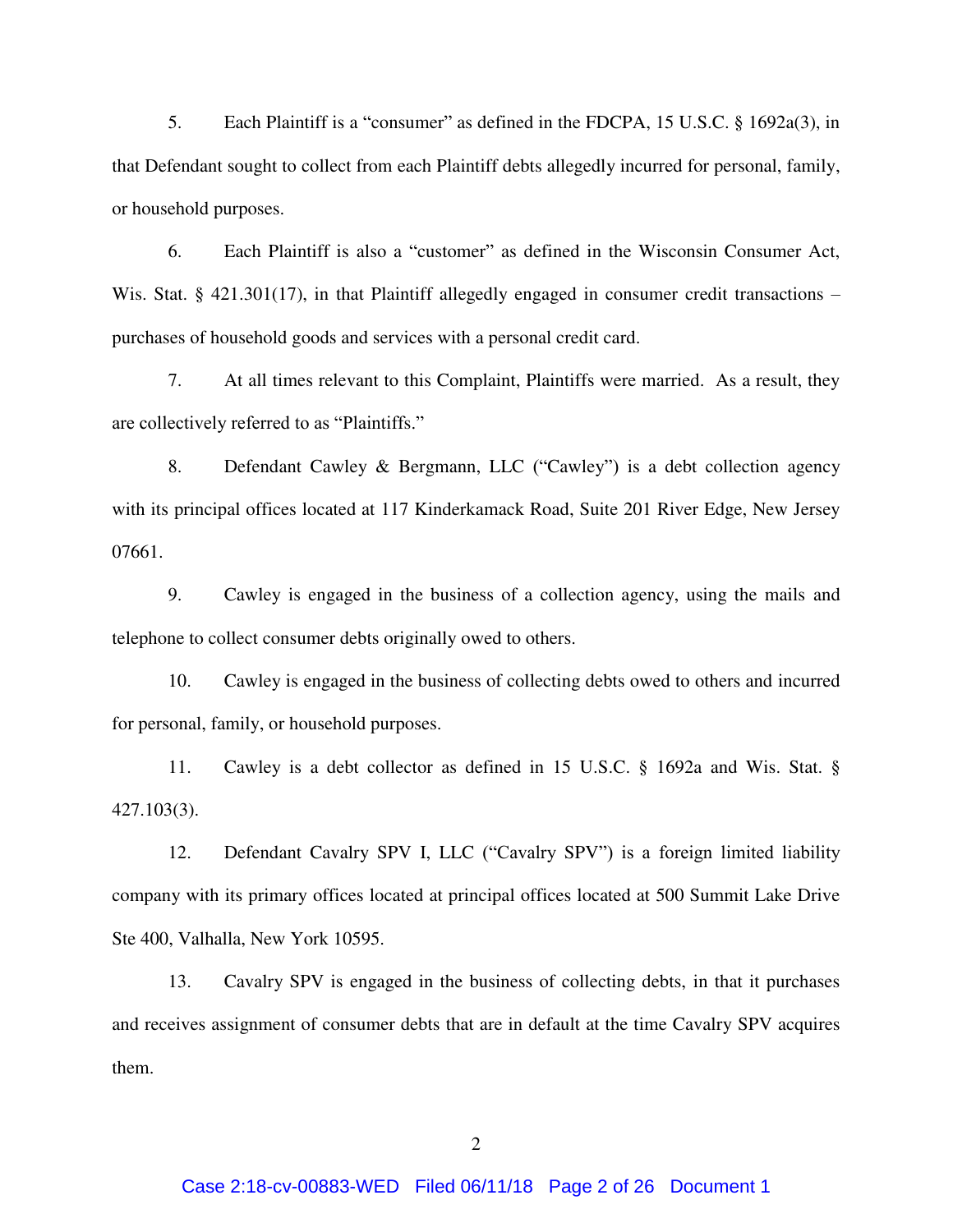5. Each Plaintiff is a "consumer" as defined in the FDCPA, 15 U.S.C. § 1692a(3), in that Defendant sought to collect from each Plaintiff debts allegedly incurred for personal, family, or household purposes.

6. Each Plaintiff is also a "customer" as defined in the Wisconsin Consumer Act, Wis. Stat. § 421.301(17), in that Plaintiff allegedly engaged in consumer credit transactions – purchases of household goods and services with a personal credit card.

7. At all times relevant to this Complaint, Plaintiffs were married. As a result, they are collectively referred to as "Plaintiffs."

8. Defendant Cawley & Bergmann, LLC ("Cawley") is a debt collection agency with its principal offices located at 117 Kinderkamack Road, Suite 201 River Edge, New Jersey 07661.

9. Cawley is engaged in the business of a collection agency, using the mails and telephone to collect consumer debts originally owed to others.

10. Cawley is engaged in the business of collecting debts owed to others and incurred for personal, family, or household purposes.

11. Cawley is a debt collector as defined in 15 U.S.C. § 1692a and Wis. Stat. § 427.103(3).

12. Defendant Cavalry SPV I, LLC ("Cavalry SPV") is a foreign limited liability company with its primary offices located at principal offices located at 500 Summit Lake Drive Ste 400, Valhalla, New York 10595.

13. Cavalry SPV is engaged in the business of collecting debts, in that it purchases and receives assignment of consumer debts that are in default at the time Cavalry SPV acquires them.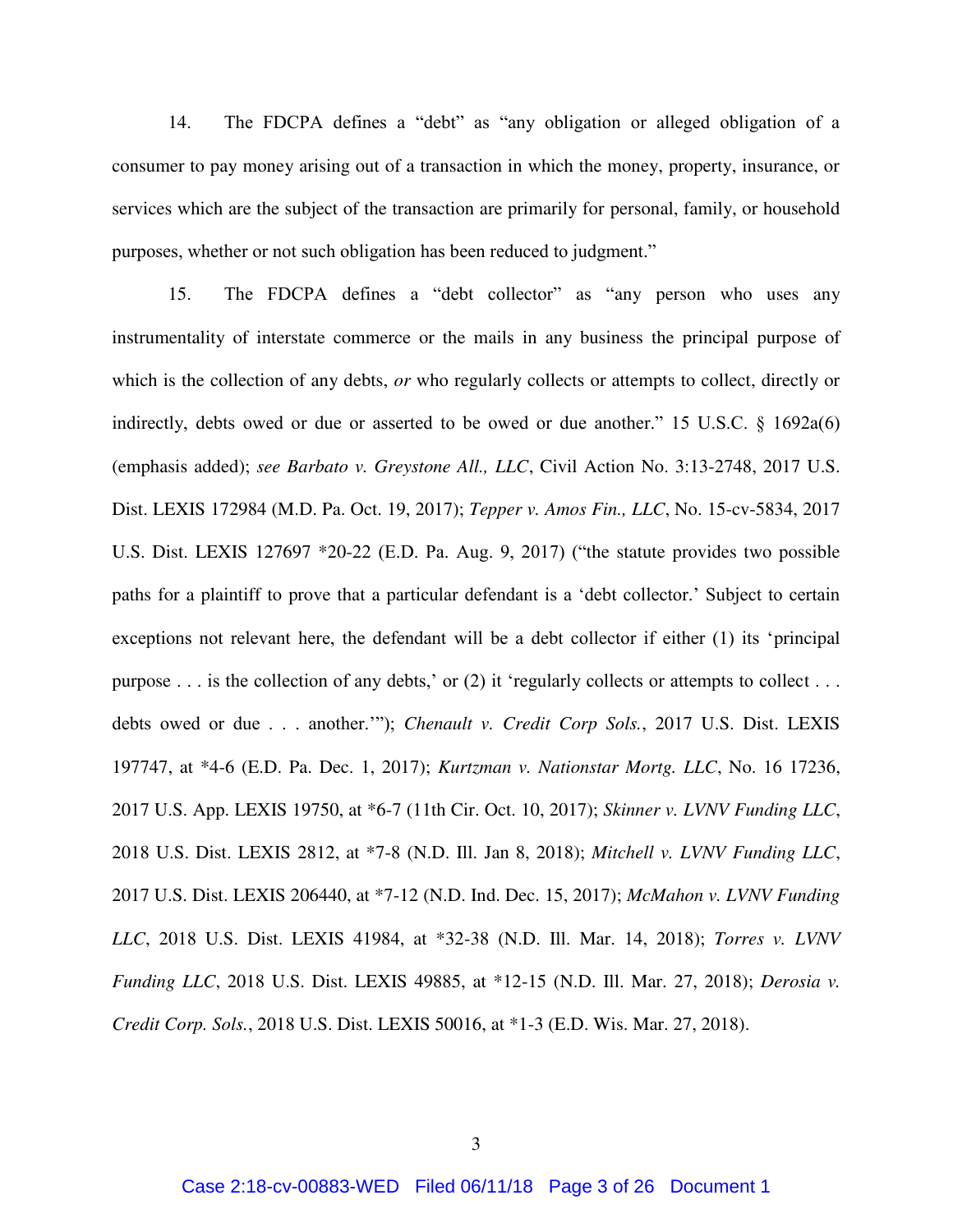14. The FDCPA defines a "debt" as "any obligation or alleged obligation of a consumer to pay money arising out of a transaction in which the money, property, insurance, or services which are the subject of the transaction are primarily for personal, family, or household purposes, whether or not such obligation has been reduced to judgment."

15. The FDCPA defines a "debt collector" as "any person who uses any instrumentality of interstate commerce or the mails in any business the principal purpose of which is the collection of any debts, *or* who regularly collects or attempts to collect, directly or indirectly, debts owed or due or asserted to be owed or due another." 15 U.S.C. § 1692a(6) (emphasis added); *see Barbato v. Greystone All., LLC*, Civil Action No. 3:13-2748, 2017 U.S. Dist. LEXIS 172984 (M.D. Pa. Oct. 19, 2017); *Tepper v. Amos Fin., LLC*, No. 15-cv-5834, 2017 U.S. Dist. LEXIS 127697 \*20-22 (E.D. Pa. Aug. 9, 2017) ("the statute provides two possible paths for a plaintiff to prove that a particular defendant is a 'debt collector.' Subject to certain exceptions not relevant here, the defendant will be a debt collector if either (1) its 'principal purpose  $\dots$  is the collection of any debts,' or (2) it 'regularly collects or attempts to collect  $\dots$ debts owed or due . . . another.'"); *Chenault v. Credit Corp Sols.*, 2017 U.S. Dist. LEXIS 197747, at \*4-6 (E.D. Pa. Dec. 1, 2017); *Kurtzman v. Nationstar Mortg. LLC*, No. 16 17236, 2017 U.S. App. LEXIS 19750, at \*6-7 (11th Cir. Oct. 10, 2017); *Skinner v. LVNV Funding LLC*, 2018 U.S. Dist. LEXIS 2812, at \*7-8 (N.D. Ill. Jan 8, 2018); *Mitchell v. LVNV Funding LLC*, 2017 U.S. Dist. LEXIS 206440, at \*7-12 (N.D. Ind. Dec. 15, 2017); *McMahon v. LVNV Funding LLC*, 2018 U.S. Dist. LEXIS 41984, at \*32-38 (N.D. Ill. Mar. 14, 2018); *Torres v. LVNV Funding LLC*, 2018 U.S. Dist. LEXIS 49885, at \*12-15 (N.D. Ill. Mar. 27, 2018); *Derosia v. Credit Corp. Sols.*, 2018 U.S. Dist. LEXIS 50016, at \*1-3 (E.D. Wis. Mar. 27, 2018).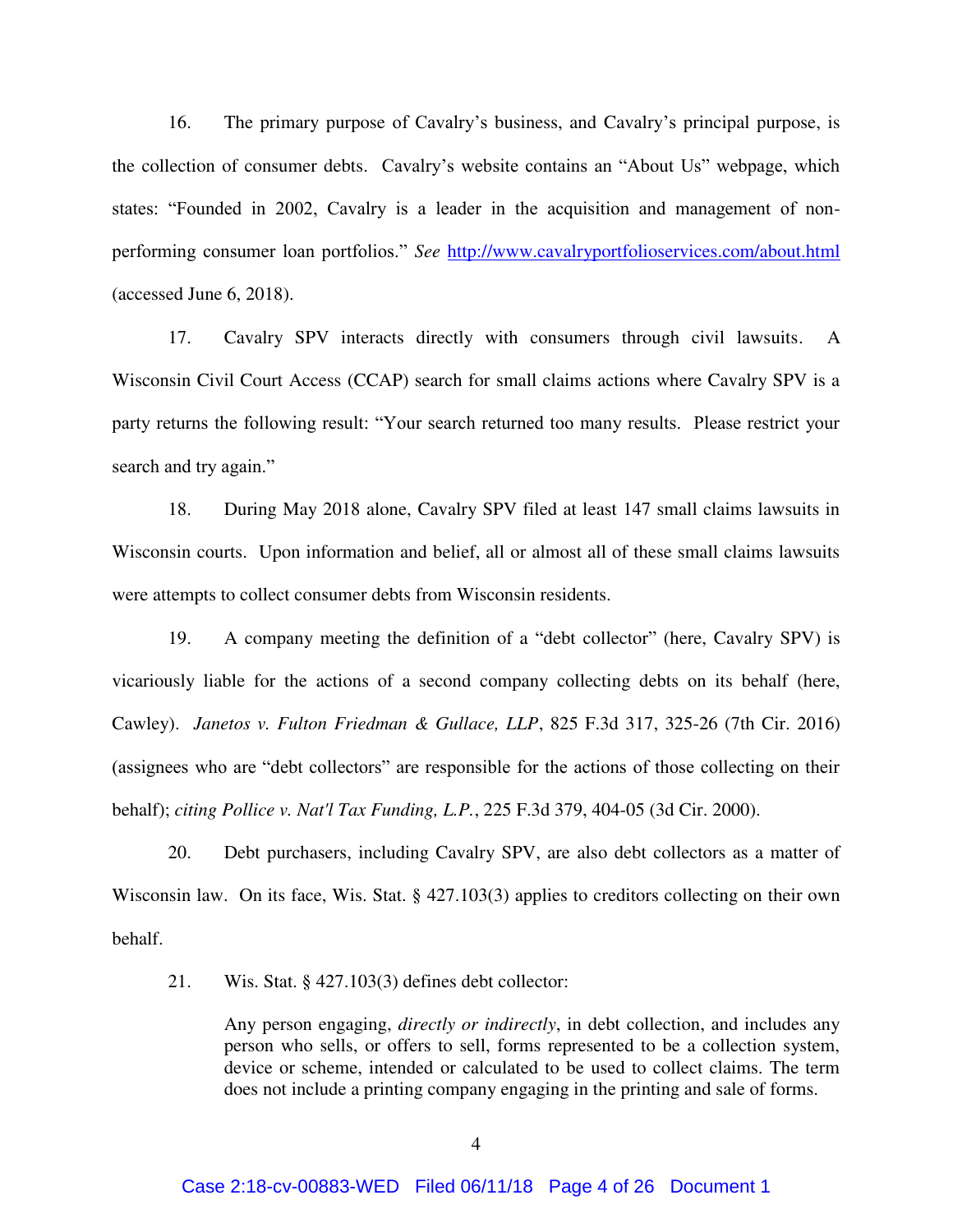16. The primary purpose of Cavalry's business, and Cavalry's principal purpose, is the collection of consumer debts. Cavalry's website contains an "About Us" webpage, which states: "Founded in 2002, Cavalry is a leader in the acquisition and management of nonperforming consumer loan portfolios." *See* <http://www.cavalryportfolioservices.com/about.html> (accessed June 6, 2018).

17. Cavalry SPV interacts directly with consumers through civil lawsuits. A Wisconsin Civil Court Access (CCAP) search for small claims actions where Cavalry SPV is a party returns the following result: "Your search returned too many results. Please restrict your search and try again."

18. During May 2018 alone, Cavalry SPV filed at least 147 small claims lawsuits in Wisconsin courts. Upon information and belief, all or almost all of these small claims lawsuits were attempts to collect consumer debts from Wisconsin residents.

19. A company meeting the definition of a "debt collector" (here, Cavalry SPV) is vicariously liable for the actions of a second company collecting debts on its behalf (here, Cawley). *Janetos v. Fulton Friedman & Gullace, LLP*, 825 F.3d 317, 325-26 (7th Cir. 2016) (assignees who are "debt collectors" are responsible for the actions of those collecting on their behalf); *citing Pollice v. Nat'l Tax Funding, L.P.*, 225 F.3d 379, 404-05 (3d Cir. 2000).

20. Debt purchasers, including Cavalry SPV, are also debt collectors as a matter of Wisconsin law. On its face, Wis. Stat. § 427.103(3) applies to creditors collecting on their own behalf.

21. Wis. Stat. § 427.103(3) defines debt collector:

Any person engaging, *directly or indirectly*, in debt collection, and includes any person who sells, or offers to sell, forms represented to be a collection system, device or scheme, intended or calculated to be used to collect claims. The term does not include a printing company engaging in the printing and sale of forms.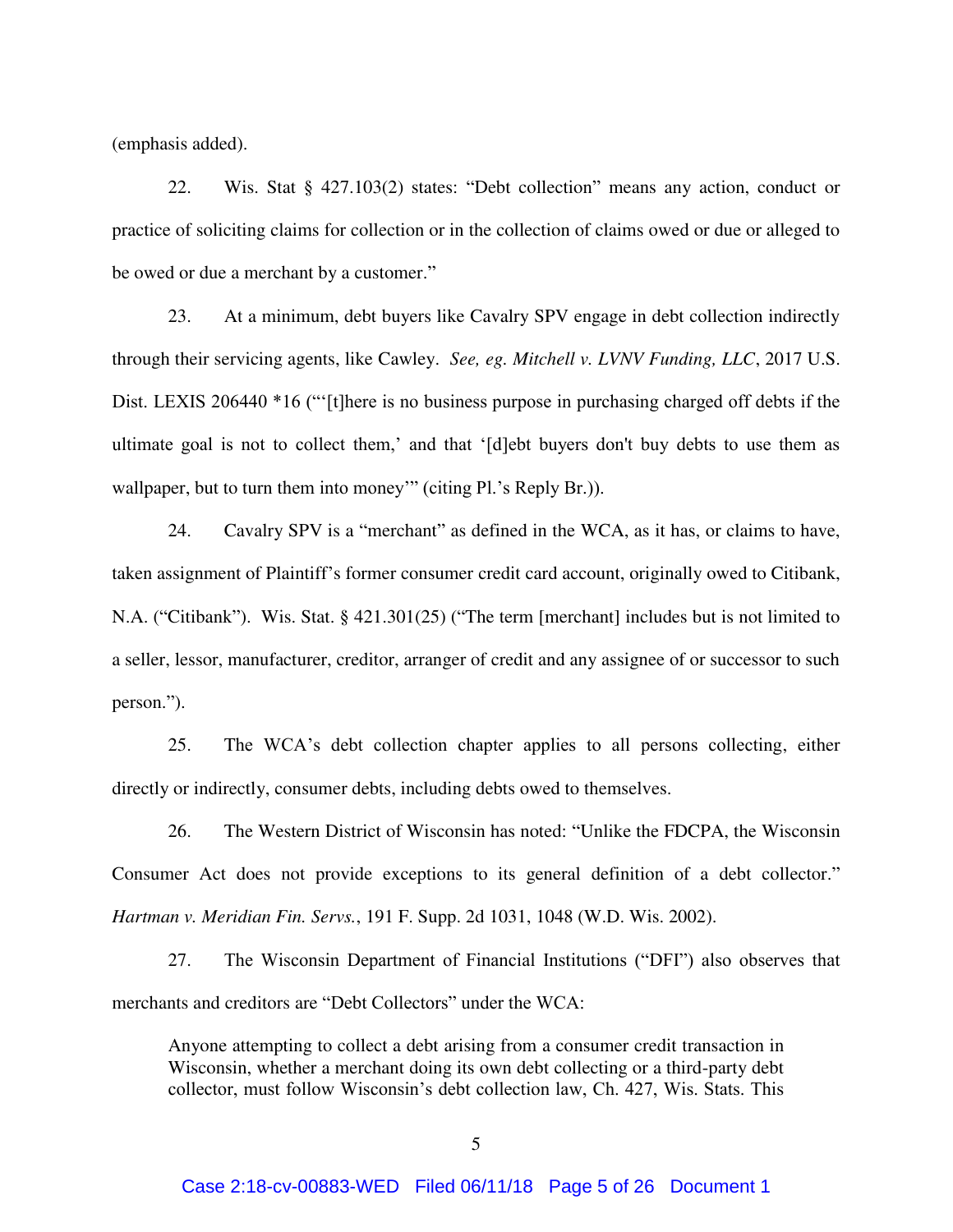(emphasis added).

22. Wis. Stat § 427.103(2) states: "Debt collection" means any action, conduct or practice of soliciting claims for collection or in the collection of claims owed or due or alleged to be owed or due a merchant by a customer."

23. At a minimum, debt buyers like Cavalry SPV engage in debt collection indirectly through their servicing agents, like Cawley. *See, eg. Mitchell v. LVNV Funding, LLC*, 2017 U.S. Dist. LEXIS 206440 \*16 ("'[t]here is no business purpose in purchasing charged off debts if the ultimate goal is not to collect them,' and that '[d]ebt buyers don't buy debts to use them as wallpaper, but to turn them into money'" (citing Pl.'s Reply Br.)).

24. Cavalry SPV is a "merchant" as defined in the WCA, as it has, or claims to have, taken assignment of Plaintiff's former consumer credit card account, originally owed to Citibank, N.A. ("Citibank"). Wis. Stat. § 421.301(25) ("The term [merchant] includes but is not limited to a seller, lessor, manufacturer, creditor, arranger of credit and any assignee of or successor to such person.").

25. The WCA's debt collection chapter applies to all persons collecting, either directly or indirectly, consumer debts, including debts owed to themselves.

26. The Western District of Wisconsin has noted: "Unlike the FDCPA, the Wisconsin Consumer Act does not provide exceptions to its general definition of a debt collector." *Hartman v. Meridian Fin. Servs.*, 191 F. Supp. 2d 1031, 1048 (W.D. Wis. 2002).

27. The Wisconsin Department of Financial Institutions ("DFI") also observes that merchants and creditors are "Debt Collectors" under the WCA:

Anyone attempting to collect a debt arising from a consumer credit transaction in Wisconsin, whether a merchant doing its own debt collecting or a third-party debt collector, must follow Wisconsin's debt collection law, Ch. 427, Wis. Stats. This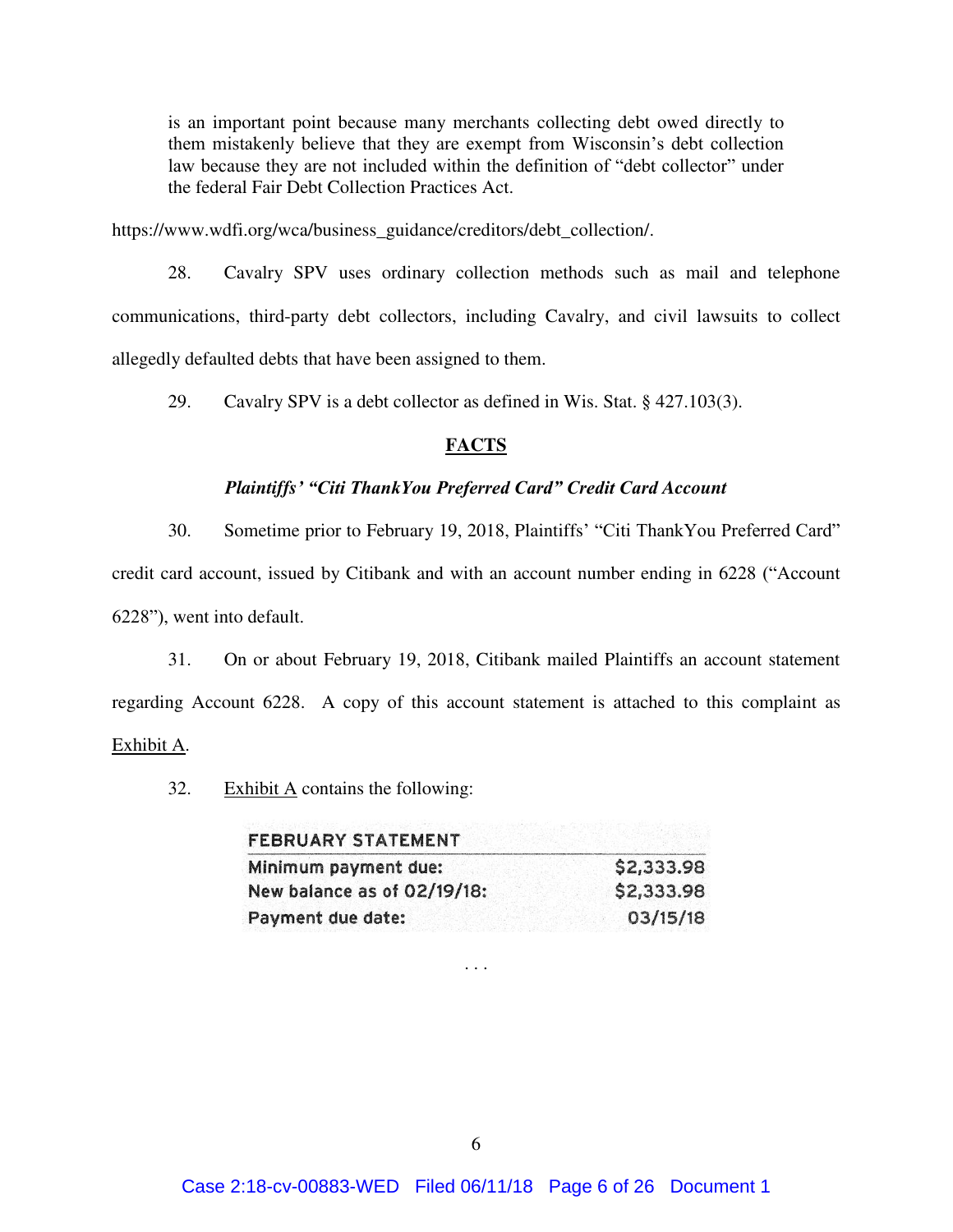is an important point because many merchants collecting debt owed directly to them mistakenly believe that they are exempt from Wisconsin's debt collection law because they are not included within the definition of "debt collector" under the federal Fair Debt Collection Practices Act.

https://www.wdfi.org/wca/business\_guidance/creditors/debt\_collection/.

28. Cavalry SPV uses ordinary collection methods such as mail and telephone communications, third-party debt collectors, including Cavalry, and civil lawsuits to collect allegedly defaulted debts that have been assigned to them.

29. Cavalry SPV is a debt collector as defined in Wis. Stat. § 427.103(3).

## **FACTS**

# *Plaintiffs' "Citi ThankYou Preferred Card" Credit Card Account*

30. Sometime prior to February 19, 2018, Plaintiffs' "Citi ThankYou Preferred Card" credit card account, issued by Citibank and with an account number ending in 6228 ("Account 6228"), went into default.

31. On or about February 19, 2018, Citibank mailed Plaintiffs an account statement regarding Account 6228. A copy of this account statement is attached to this complaint as Exhibit A.

32. Exhibit A contains the following:

| <b>FEBRUARY STATEMENT</b>   |            |  |
|-----------------------------|------------|--|
| Minimum payment due:        | \$2,333.98 |  |
| New balance as of 02/19/18: | \$2,333.98 |  |
| Payment due date:           | 03/15/18   |  |

. . .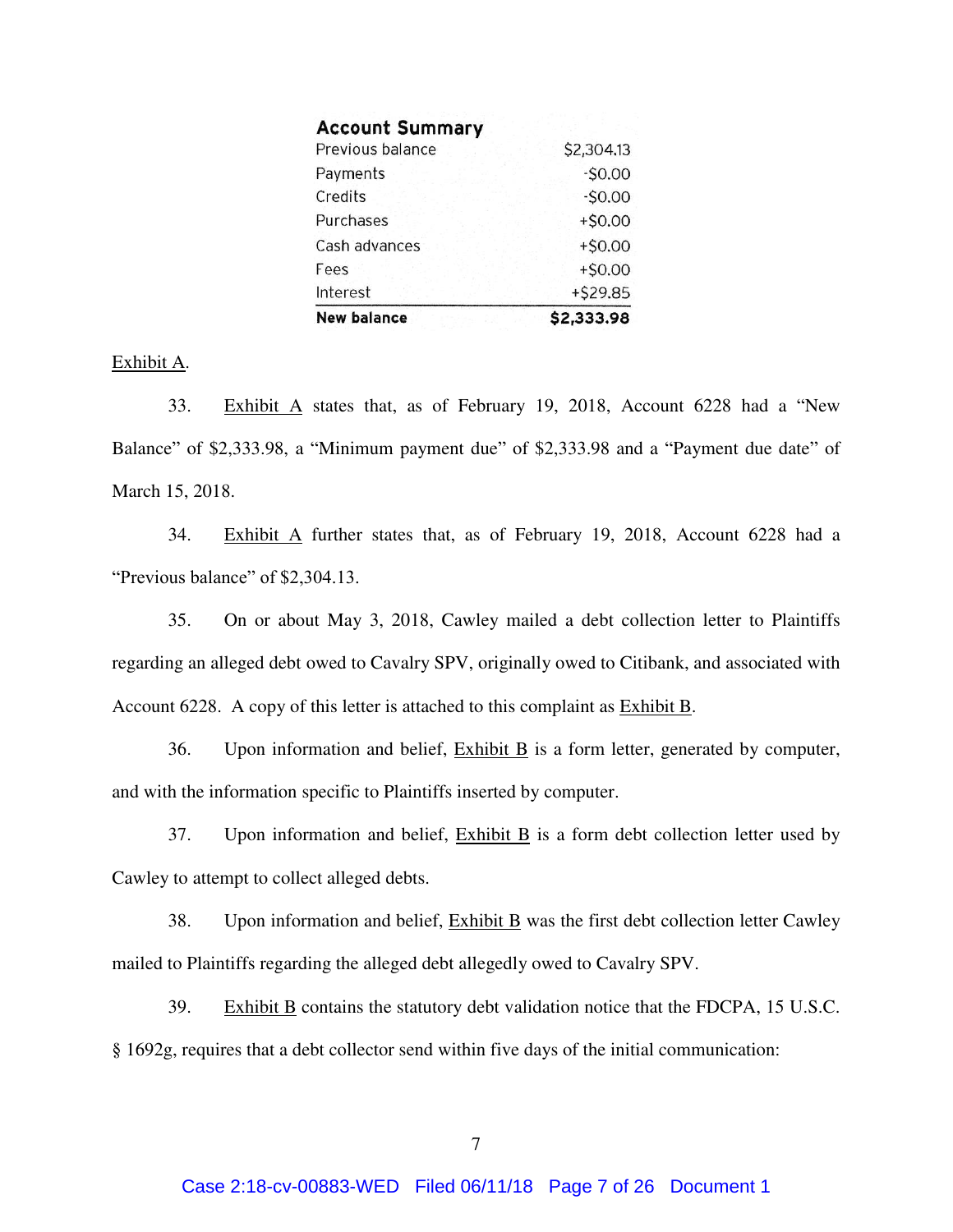| <b>New balance</b>     | \$2,333.98 |
|------------------------|------------|
| Interest               | +\$29.85   |
| Fees                   | $+50.00$   |
| Cash advances          | $+50.00$   |
| Purchases              | $+50.00$   |
| Credits                | $-50.00$   |
| Payments               | $-S0.00$   |
| Previous balance       | \$2,304.13 |
| <b>Account Summary</b> |            |

## Exhibit A.

33. Exhibit A states that, as of February 19, 2018, Account 6228 had a "New Balance" of \$2,333.98, a "Minimum payment due" of \$2,333.98 and a "Payment due date" of March 15, 2018.

34. Exhibit A further states that, as of February 19, 2018, Account 6228 had a "Previous balance" of \$2,304.13.

35. On or about May 3, 2018, Cawley mailed a debt collection letter to Plaintiffs regarding an alleged debt owed to Cavalry SPV, originally owed to Citibank, and associated with Account 6228. A copy of this letter is attached to this complaint as Exhibit B.

36. Upon information and belief, Exhibit B is a form letter, generated by computer, and with the information specific to Plaintiffs inserted by computer.

37. Upon information and belief, Exhibit B is a form debt collection letter used by Cawley to attempt to collect alleged debts.

38. Upon information and belief, Exhibit B was the first debt collection letter Cawley mailed to Plaintiffs regarding the alleged debt allegedly owed to Cavalry SPV.

39. Exhibit B contains the statutory debt validation notice that the FDCPA, 15 U.S.C. § 1692g, requires that a debt collector send within five days of the initial communication: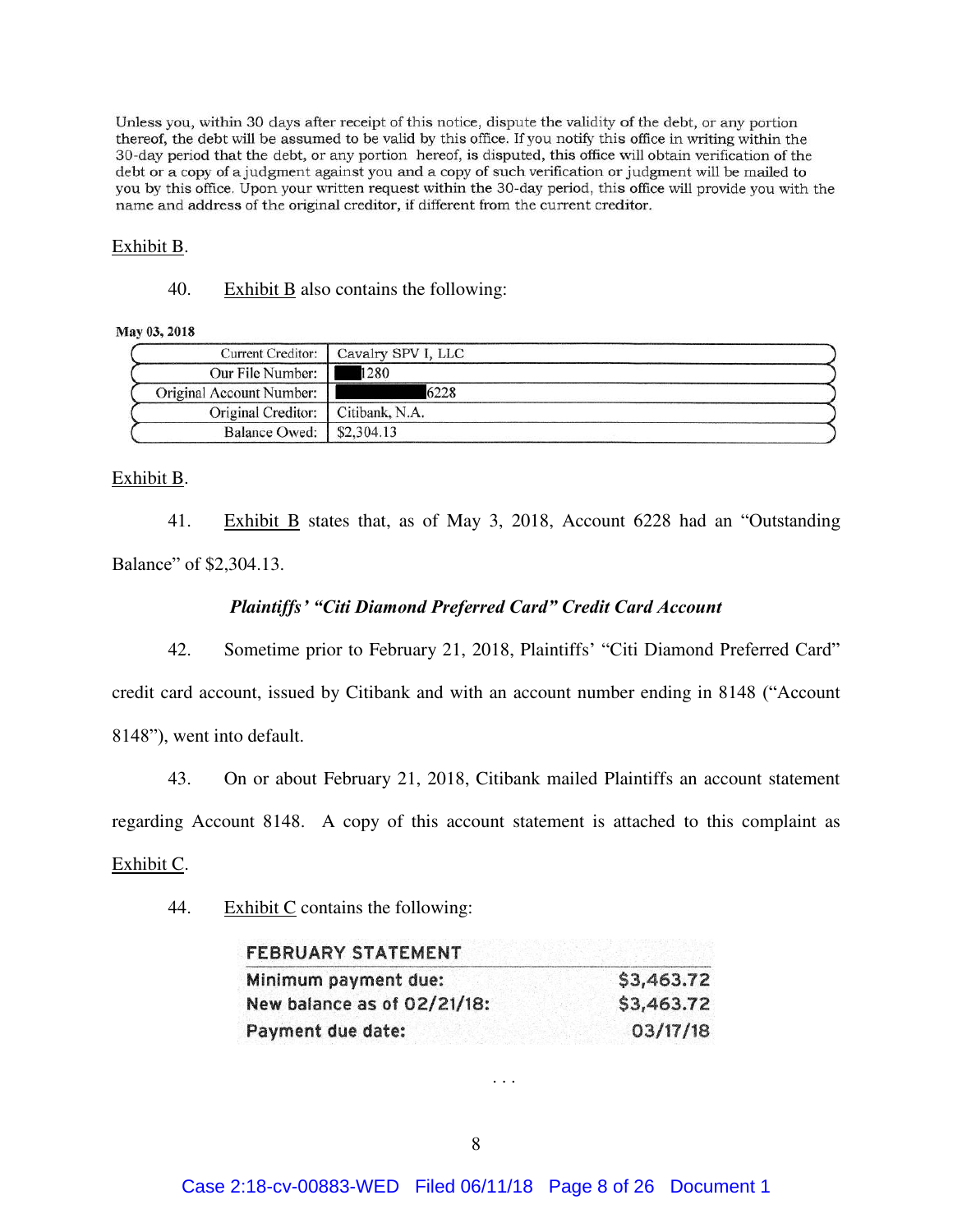Unless you, within 30 days after receipt of this notice, dispute the validity of the debt, or any portion thereof, the debt will be assumed to be valid by this office. If you notify this office in writing within the 30-day period that the debt, or any portion hereof, is disputed, this office will obtain verification of the debt or a copy of a judgment against you and a copy of such verification or judgment will be mailed to you by this office. Upon your written request within the 30-day period, this office will provide you with the name and address of the original creditor, if different from the current creditor.

### Exhibit B.

40. Exhibit  $\overline{B}$  also contains the following:

### May 03, 2018

| <b>Current Creditor:</b> | Cavalry SPV I, LLC |
|--------------------------|--------------------|
| Our File Number:         | 1280               |
| Original Account Number: | 6228               |
| Original Creditor:       | Citibank, N.A.     |
| <b>Balance Owed:</b>     | \$2,304.13         |

## Exhibit B.

41. Exhibit B states that, as of May 3, 2018, Account 6228 had an "Outstanding Balance" of \$2,304.13.

# *Plaintiffs' "Citi Diamond Preferred Card" Credit Card Account*

42. Sometime prior to February 21, 2018, Plaintiffs' "Citi Diamond Preferred Card" credit card account, issued by Citibank and with an account number ending in 8148 ("Account 8148"), went into default.

43. On or about February 21, 2018, Citibank mailed Plaintiffs an account statement

regarding Account 8148. A copy of this account statement is attached to this complaint as

## Exhibit C.

44. Exhibit C contains the following:

| <b>FEBRUARY STATEMENT</b>   |            |  |
|-----------------------------|------------|--|
| Minimum payment due:        | \$3,463.72 |  |
| New balance as of 02/21/18: | \$3,463.72 |  |
| Payment due date:           | 03/17/18   |  |

. . .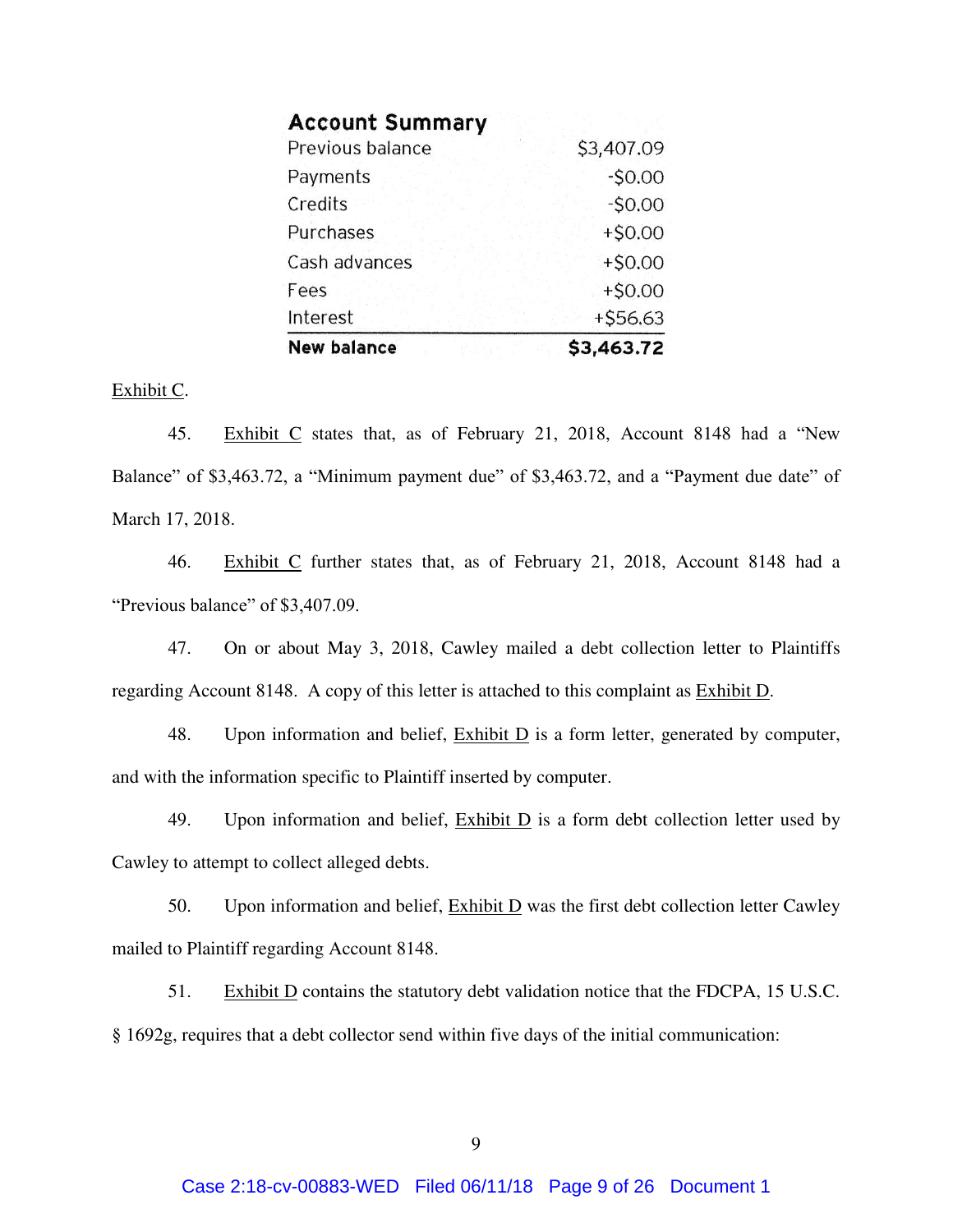| <b>New balance</b>     | \$3,463.72 |
|------------------------|------------|
| Interest               | +\$56.63   |
| Fees                   | $+$0.00$   |
| Cash advances          | $+50.00$   |
| Purchases              | $+50.00$   |
| Credits                | $-50.00$   |
| Payments               | $-50.00$   |
| Previous balance       | \$3,407.09 |
| <b>Account Summary</b> |            |

### Exhibit C.

45. Exhibit C states that, as of February 21, 2018, Account 8148 had a "New Balance" of \$3,463.72, a "Minimum payment due" of \$3,463.72, and a "Payment due date" of March 17, 2018.

46. Exhibit C further states that, as of February 21, 2018, Account 8148 had a "Previous balance" of \$3,407.09.

47. On or about May 3, 2018, Cawley mailed a debt collection letter to Plaintiffs regarding Account 8148. A copy of this letter is attached to this complaint as Exhibit D.

48. Upon information and belief,  $\overline{\text{Exhibit D}}$  is a form letter, generated by computer, and with the information specific to Plaintiff inserted by computer.

49. Upon information and belief,  $\overline{\text{Exhibit D}}$  is a form debt collection letter used by Cawley to attempt to collect alleged debts.

50. Upon information and belief,  $\frac{Exhibit D}{D}$  was the first debt collection letter Cawley mailed to Plaintiff regarding Account 8148.

51. Exhibit D contains the statutory debt validation notice that the FDCPA, 15 U.S.C. § 1692g, requires that a debt collector send within five days of the initial communication: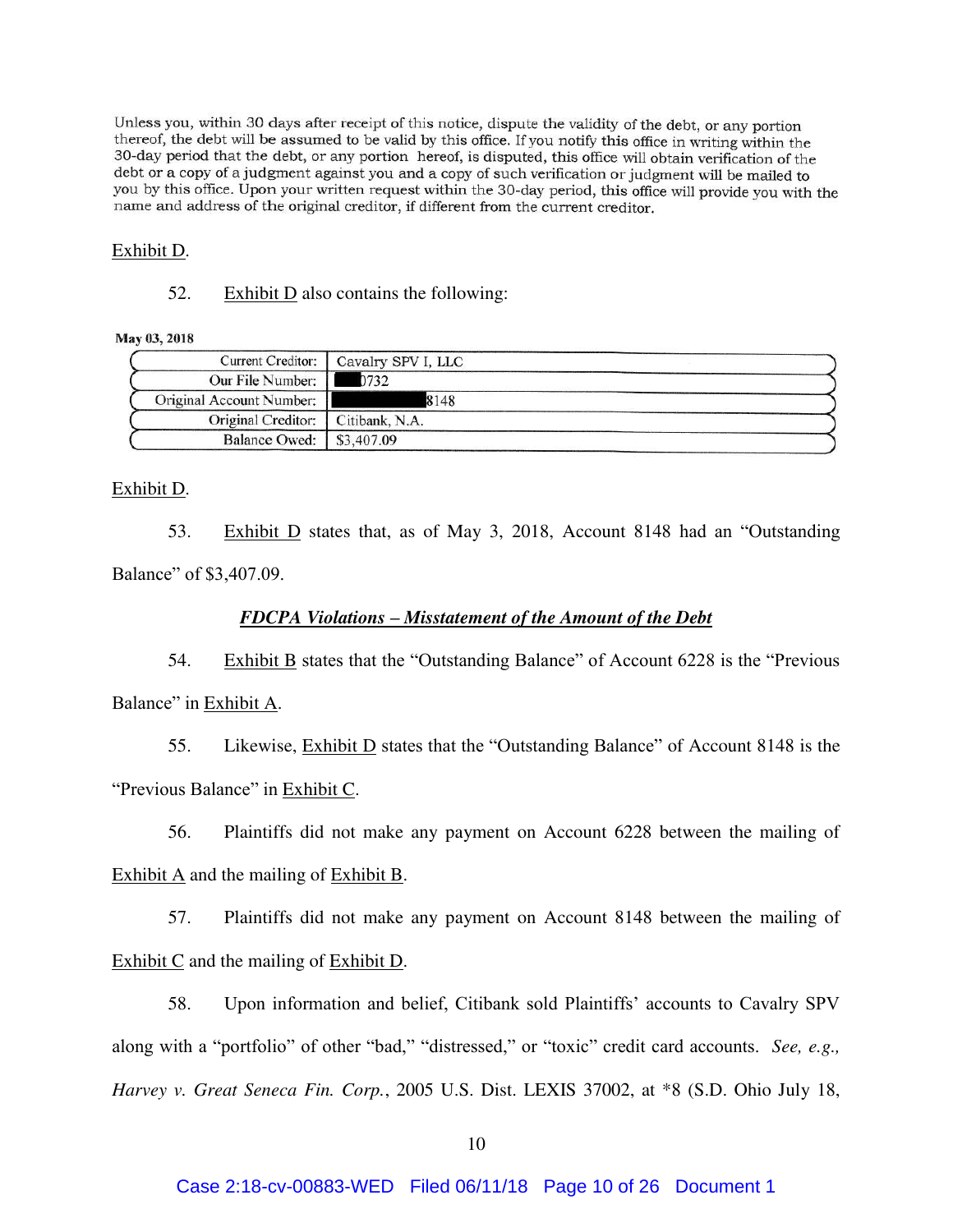Unless you, within 30 days after receipt of this notice, dispute the validity of the debt, or any portion thereof, the debt will be assumed to be valid by this office. If you notify this office in writing within the 30-day period that the debt, or any portion hereof, is disputed, this office will obtain verification of the debt or a copy of a judgment against you and a copy of such verification or judgment will be mailed to you by this office. Upon your written request within the 30-day period, this office will provide you with the name and address of the original creditor, if different from the current creditor.

#### Exhibit D.

52. Exhibit D also contains the following:

#### May 03, 2018

|                                     | Current Creditor:   Cavalry SPV I, LLC |
|-------------------------------------|----------------------------------------|
| Our File Number:                    | 0732                                   |
| Original Account Number:            | 8148                                   |
| Original Creditor:   Citibank, N.A. |                                        |
| Balance Owed:   \$3,407.09          |                                        |

#### Exhibit D.

53. Exhibit D states that, as of May 3, 2018, Account 8148 had an "Outstanding Balance" of \$3,407.09.

### *FDCPA Violations – Misstatement of the Amount of the Debt*

54. Exhibit B states that the "Outstanding Balance" of Account 6228 is the "Previous Balance" in Exhibit A.

55. Likewise, Exhibit D states that the "Outstanding Balance" of Account 8148 is the "Previous Balance" in Exhibit C.

56. Plaintiffs did not make any payment on Account 6228 between the mailing of

Exhibit A and the mailing of Exhibit B.

57. Plaintiffs did not make any payment on Account 8148 between the mailing of Exhibit C and the mailing of Exhibit D.

58. Upon information and belief, Citibank sold Plaintiffs' accounts to Cavalry SPV along with a "portfolio" of other "bad," "distressed," or "toxic" credit card accounts. *See, e.g., Harvey v. Great Seneca Fin. Corp.*, 2005 U.S. Dist. LEXIS 37002, at \*8 (S.D. Ohio July 18,

#### Case 2:18-cv-00883-WED Filed 06/11/18 Page 10 of 26 Document 1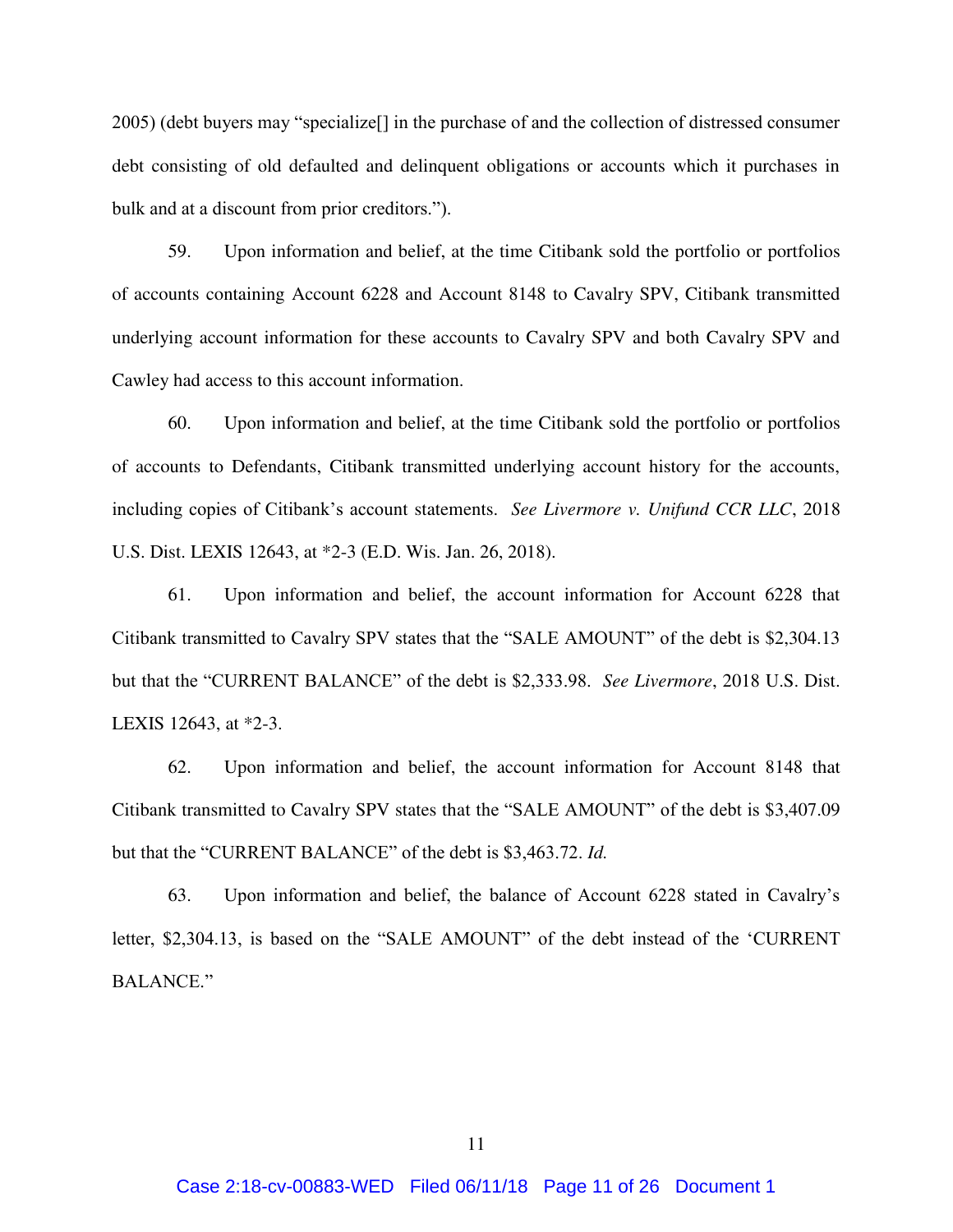2005) (debt buyers may "specialize[] in the purchase of and the collection of distressed consumer debt consisting of old defaulted and delinquent obligations or accounts which it purchases in bulk and at a discount from prior creditors.").

59. Upon information and belief, at the time Citibank sold the portfolio or portfolios of accounts containing Account 6228 and Account 8148 to Cavalry SPV, Citibank transmitted underlying account information for these accounts to Cavalry SPV and both Cavalry SPV and Cawley had access to this account information.

60. Upon information and belief, at the time Citibank sold the portfolio or portfolios of accounts to Defendants, Citibank transmitted underlying account history for the accounts, including copies of Citibank's account statements. *See Livermore v. Unifund CCR LLC*, 2018 U.S. Dist. LEXIS 12643, at \*2-3 (E.D. Wis. Jan. 26, 2018).

61. Upon information and belief, the account information for Account 6228 that Citibank transmitted to Cavalry SPV states that the "SALE AMOUNT" of the debt is \$2,304.13 but that the "CURRENT BALANCE" of the debt is \$2,333.98. *See Livermore*, 2018 U.S. Dist. LEXIS 12643, at \*2-3.

62. Upon information and belief, the account information for Account 8148 that Citibank transmitted to Cavalry SPV states that the "SALE AMOUNT" of the debt is \$3,407.09 but that the "CURRENT BALANCE" of the debt is \$3,463.72. *Id.*

63. Upon information and belief, the balance of Account 6228 stated in Cavalry's letter, \$2,304.13, is based on the "SALE AMOUNT" of the debt instead of the 'CURRENT BALANCE."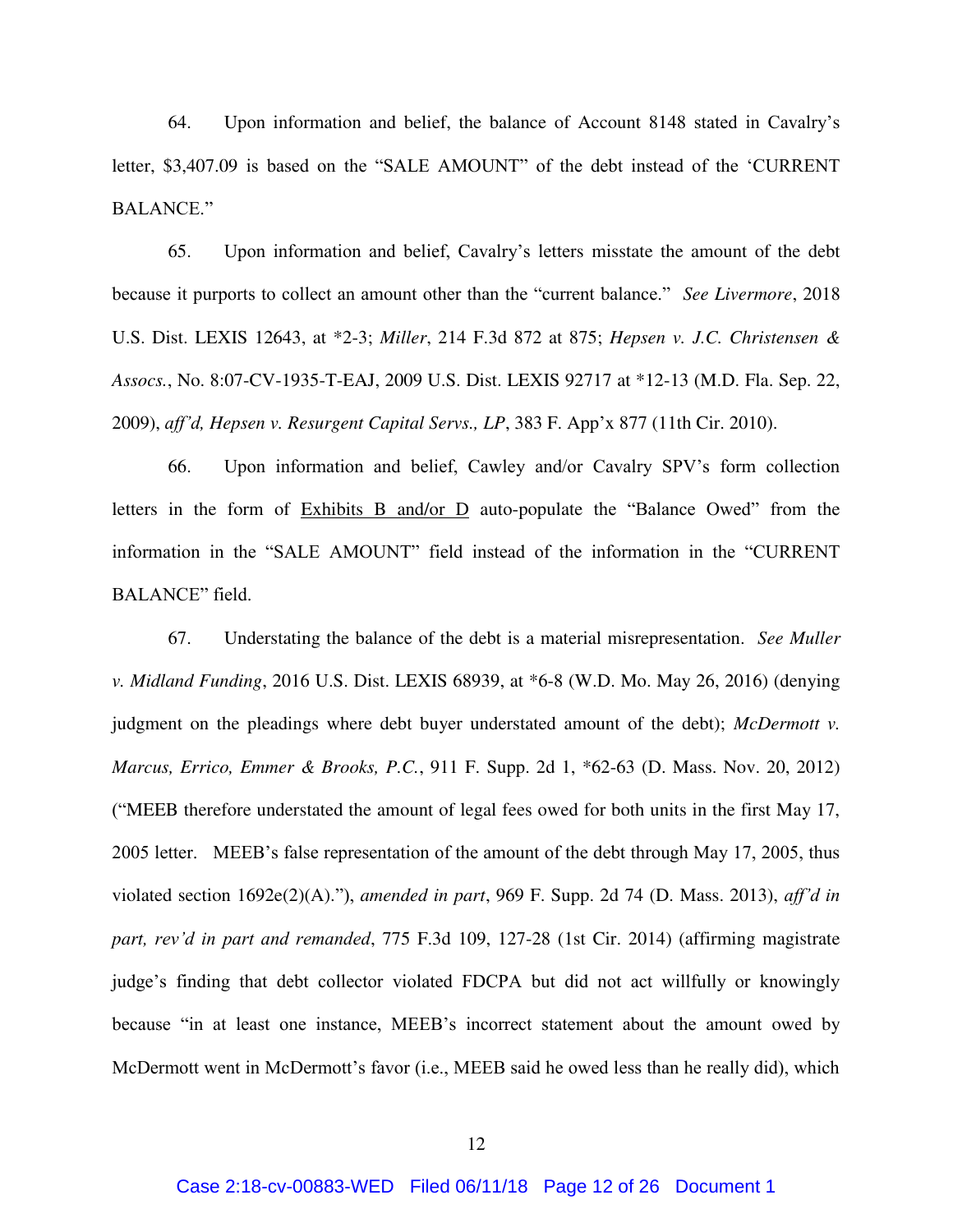64. Upon information and belief, the balance of Account 8148 stated in Cavalry's letter, \$3,407.09 is based on the "SALE AMOUNT" of the debt instead of the 'CURRENT BALANCE."

65. Upon information and belief, Cavalry's letters misstate the amount of the debt because it purports to collect an amount other than the "current balance." *See Livermore*, 2018 U.S. Dist. LEXIS 12643, at \*2-3; *Miller*, 214 F.3d 872 at 875; *Hepsen v. J.C. Christensen & Assocs.*, No. 8:07-CV-1935-T-EAJ, 2009 U.S. Dist. LEXIS 92717 at \*12-13 (M.D. Fla. Sep. 22, 2009), *aff'd, Hepsen v. Resurgent Capital Servs., LP*, 383 F. App'x 877 (11th Cir. 2010).

66. Upon information and belief, Cawley and/or Cavalry SPV's form collection letters in the form of Exhibits B and/or D auto-populate the "Balance Owed" from the information in the "SALE AMOUNT" field instead of the information in the "CURRENT BALANCE" field.

67. Understating the balance of the debt is a material misrepresentation. *See Muller v. Midland Funding*, 2016 U.S. Dist. LEXIS 68939, at \*6-8 (W.D. Mo. May 26, 2016) (denying judgment on the pleadings where debt buyer understated amount of the debt); *McDermott v. Marcus, Errico, Emmer & Brooks, P.C.*, 911 F. Supp. 2d 1, \*62-63 (D. Mass. Nov. 20, 2012) ("MEEB therefore understated the amount of legal fees owed for both units in the first May 17, 2005 letter. MEEB's false representation of the amount of the debt through May 17, 2005, thus violated section 1692e(2)(A)."), *amended in part*, 969 F. Supp. 2d 74 (D. Mass. 2013), *aff'd in part, rev'd in part and remanded*, 775 F.3d 109, 127-28 (1st Cir. 2014) (affirming magistrate judge's finding that debt collector violated FDCPA but did not act willfully or knowingly because "in at least one instance, MEEB's incorrect statement about the amount owed by McDermott went in McDermott's favor (i.e., MEEB said he owed less than he really did), which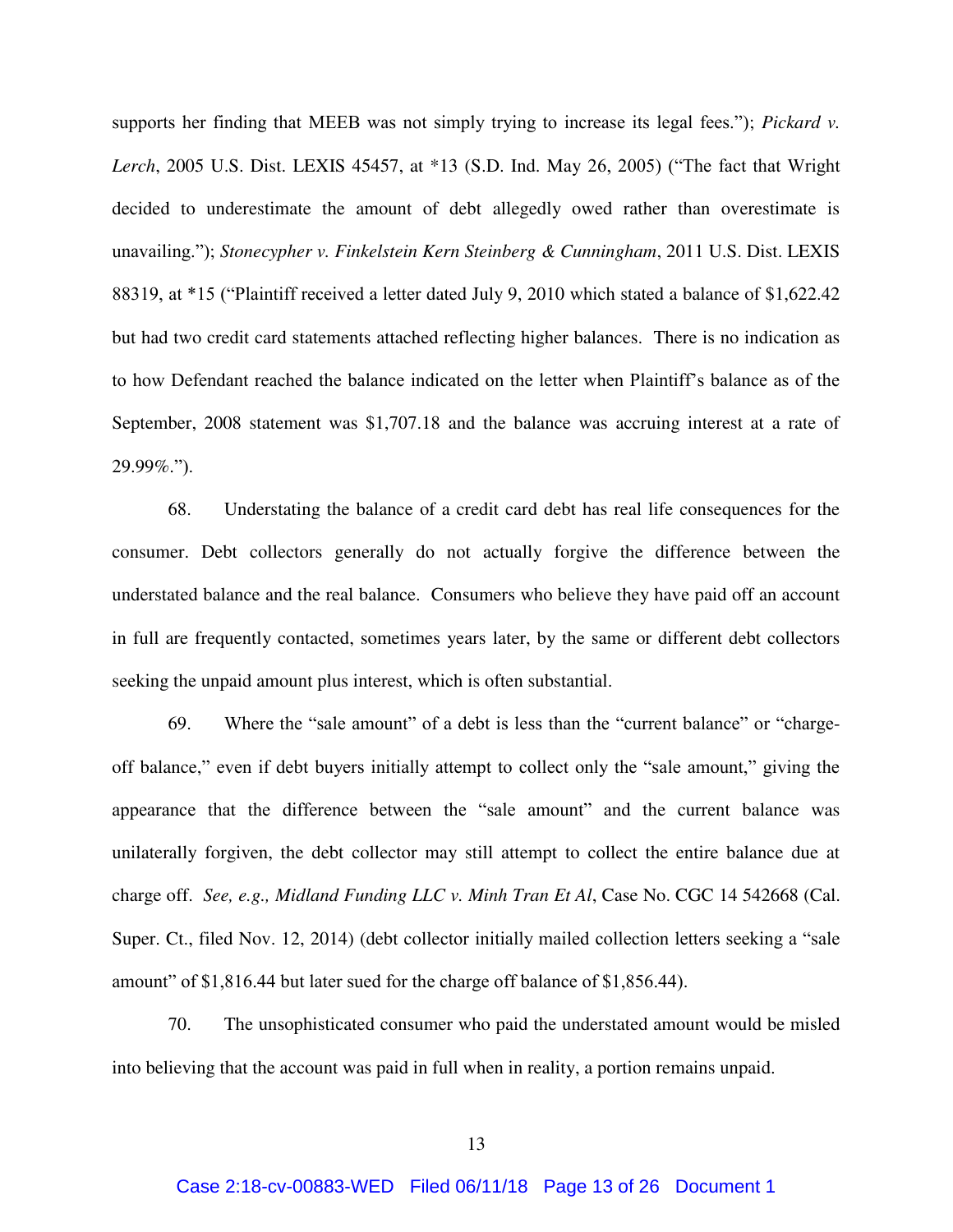supports her finding that MEEB was not simply trying to increase its legal fees."); *Pickard v. Lerch*, 2005 U.S. Dist. LEXIS 45457, at \*13 (S.D. Ind. May 26, 2005) ("The fact that Wright decided to underestimate the amount of debt allegedly owed rather than overestimate is unavailing."); *Stonecypher v. Finkelstein Kern Steinberg & Cunningham*, 2011 U.S. Dist. LEXIS 88319, at \*15 ("Plaintiff received a letter dated July 9, 2010 which stated a balance of \$1,622.42 but had two credit card statements attached reflecting higher balances. There is no indication as to how Defendant reached the balance indicated on the letter when Plaintiff's balance as of the September, 2008 statement was \$1,707.18 and the balance was accruing interest at a rate of 29.99%.").

68. Understating the balance of a credit card debt has real life consequences for the consumer. Debt collectors generally do not actually forgive the difference between the understated balance and the real balance. Consumers who believe they have paid off an account in full are frequently contacted, sometimes years later, by the same or different debt collectors seeking the unpaid amount plus interest, which is often substantial.

69. Where the "sale amount" of a debt is less than the "current balance" or "chargeoff balance," even if debt buyers initially attempt to collect only the "sale amount," giving the appearance that the difference between the "sale amount" and the current balance was unilaterally forgiven, the debt collector may still attempt to collect the entire balance due at charge off. *See, e.g., Midland Funding LLC v. Minh Tran Et Al*, Case No. CGC 14 542668 (Cal. Super. Ct., filed Nov. 12, 2014) (debt collector initially mailed collection letters seeking a "sale amount" of \$1,816.44 but later sued for the charge off balance of \$1,856.44).

70. The unsophisticated consumer who paid the understated amount would be misled into believing that the account was paid in full when in reality, a portion remains unpaid.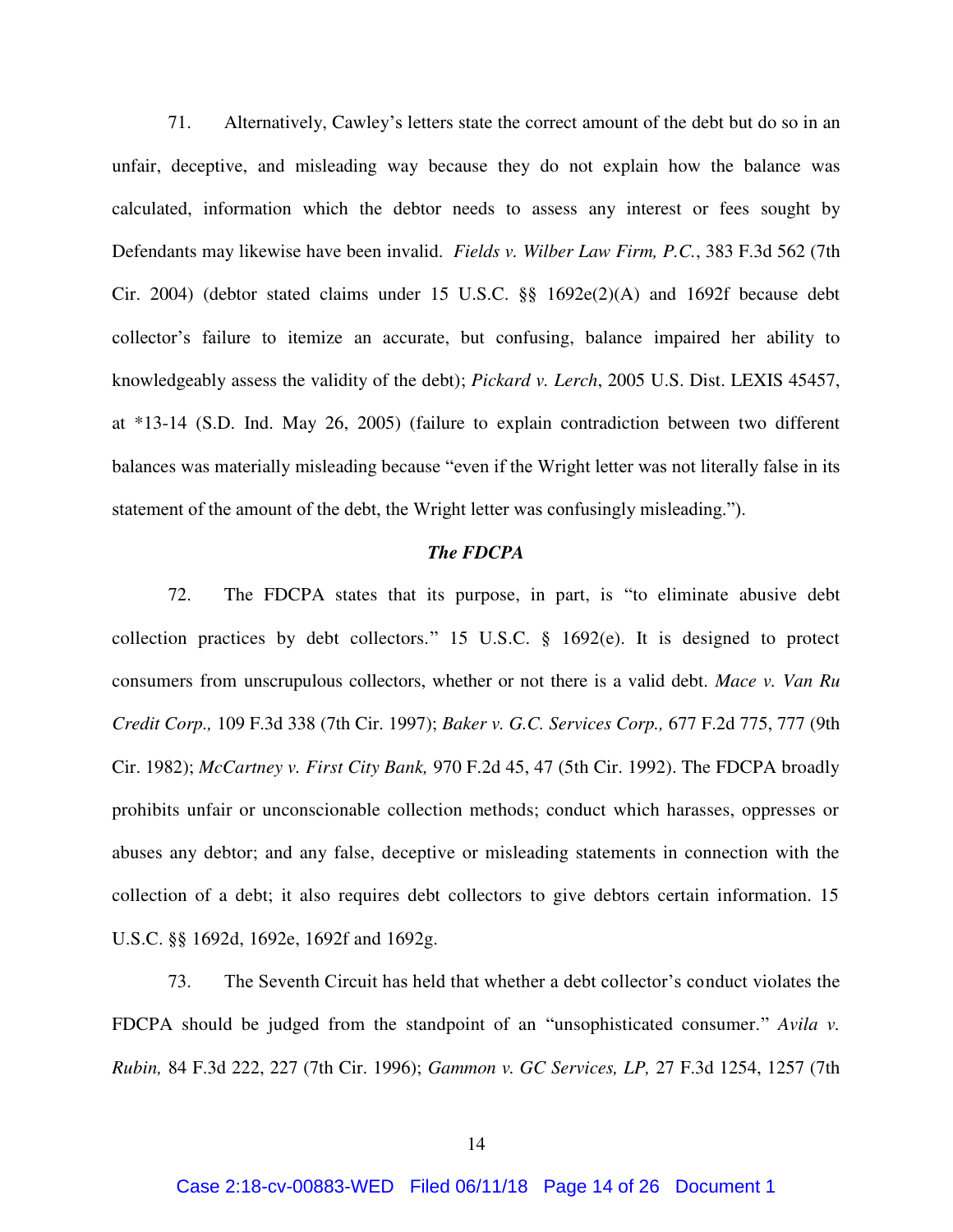71. Alternatively, Cawley's letters state the correct amount of the debt but do so in an unfair, deceptive, and misleading way because they do not explain how the balance was calculated, information which the debtor needs to assess any interest or fees sought by Defendants may likewise have been invalid. *Fields v. Wilber Law Firm, P.C.*, 383 F.3d 562 (7th Cir. 2004) (debtor stated claims under 15 U.S.C. §§ 1692e(2)(A) and 1692f because debt collector's failure to itemize an accurate, but confusing, balance impaired her ability to knowledgeably assess the validity of the debt); *Pickard v. Lerch*, 2005 U.S. Dist. LEXIS 45457, at \*13-14 (S.D. Ind. May 26, 2005) (failure to explain contradiction between two different balances was materially misleading because "even if the Wright letter was not literally false in its statement of the amount of the debt, the Wright letter was confusingly misleading.").

### *The FDCPA*

72. The FDCPA states that its purpose, in part, is "to eliminate abusive debt collection practices by debt collectors." 15 U.S.C. § 1692(e). It is designed to protect consumers from unscrupulous collectors, whether or not there is a valid debt. *Mace v. Van Ru Credit Corp.,* 109 F.3d 338 (7th Cir. 1997); *Baker v. G.C. Services Corp.,* 677 F.2d 775, 777 (9th Cir. 1982); *McCartney v. First City Bank,* 970 F.2d 45, 47 (5th Cir. 1992). The FDCPA broadly prohibits unfair or unconscionable collection methods; conduct which harasses, oppresses or abuses any debtor; and any false, deceptive or misleading statements in connection with the collection of a debt; it also requires debt collectors to give debtors certain information. 15 U.S.C. §§ 1692d, 1692e, 1692f and 1692g.

73. The Seventh Circuit has held that whether a debt collector's conduct violates the FDCPA should be judged from the standpoint of an "unsophisticated consumer." *Avila v. Rubin,* 84 F.3d 222, 227 (7th Cir. 1996); *Gammon v. GC Services, LP,* 27 F.3d 1254, 1257 (7th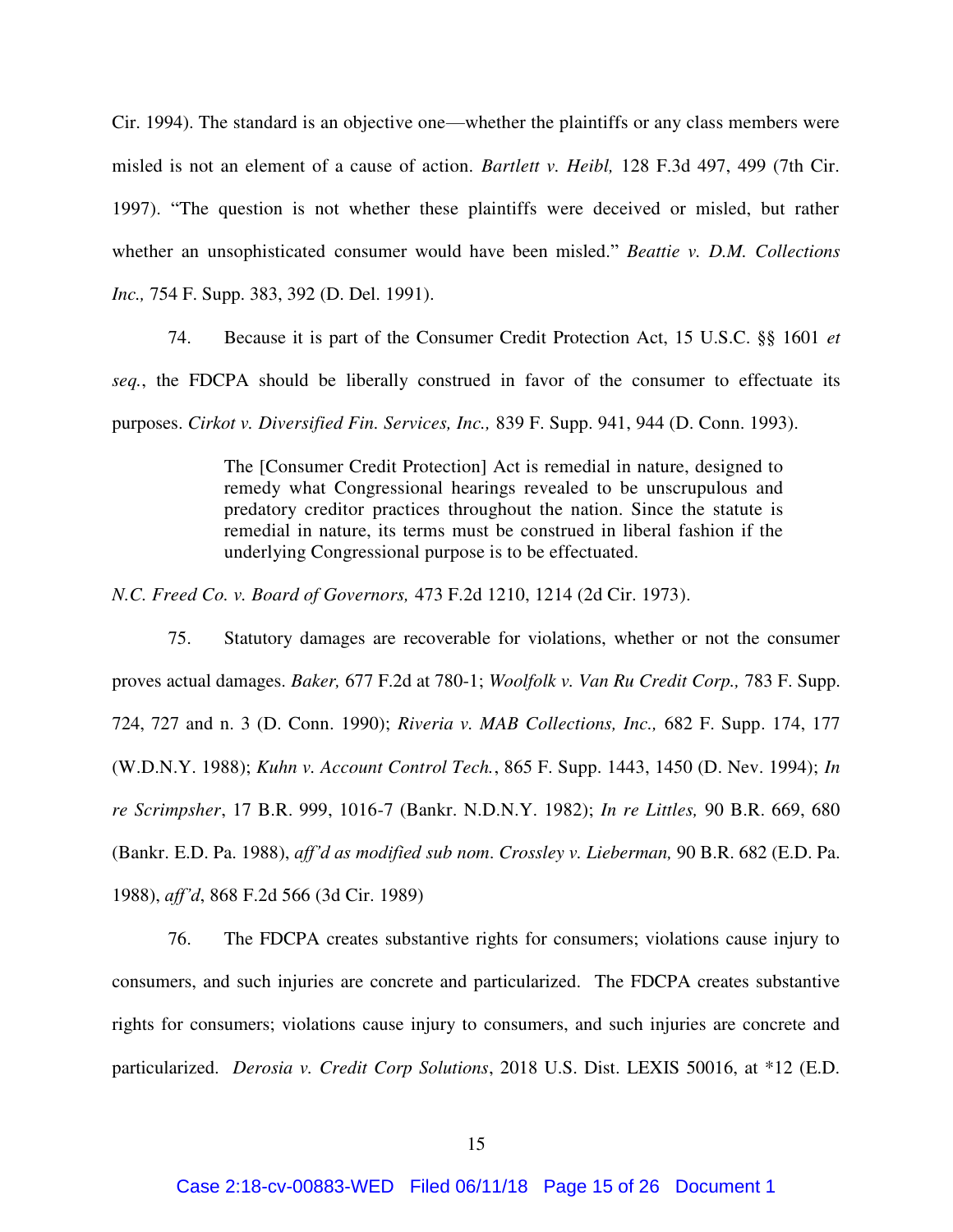Cir. 1994). The standard is an objective one—whether the plaintiffs or any class members were misled is not an element of a cause of action. *Bartlett v. Heibl,* 128 F.3d 497, 499 (7th Cir. 1997). "The question is not whether these plaintiffs were deceived or misled, but rather whether an unsophisticated consumer would have been misled." *Beattie v. D.M. Collections Inc.,* 754 F. Supp. 383, 392 (D. Del. 1991).

74. Because it is part of the Consumer Credit Protection Act, 15 U.S.C. §§ 1601 *et seq.*, the FDCPA should be liberally construed in favor of the consumer to effectuate its purposes. *Cirkot v. Diversified Fin. Services, Inc.,* 839 F. Supp. 941, 944 (D. Conn. 1993).

> The [Consumer Credit Protection] Act is remedial in nature, designed to remedy what Congressional hearings revealed to be unscrupulous and predatory creditor practices throughout the nation. Since the statute is remedial in nature, its terms must be construed in liberal fashion if the underlying Congressional purpose is to be effectuated.

*N.C. Freed Co. v. Board of Governors,* 473 F.2d 1210, 1214 (2d Cir. 1973).

75. Statutory damages are recoverable for violations, whether or not the consumer proves actual damages. *Baker,* 677 F.2d at 780-1; *Woolfolk v. Van Ru Credit Corp.,* 783 F. Supp. 724, 727 and n. 3 (D. Conn. 1990); *Riveria v. MAB Collections, Inc.,* 682 F. Supp. 174, 177 (W.D.N.Y. 1988); *Kuhn v. Account Control Tech.*, 865 F. Supp. 1443, 1450 (D. Nev. 1994); *In re Scrimpsher*, 17 B.R. 999, 1016-7 (Bankr. N.D.N.Y. 1982); *In re Littles,* 90 B.R. 669, 680 (Bankr. E.D. Pa. 1988), *aff'd as modified sub nom*. *Crossley v. Lieberman,* 90 B.R. 682 (E.D. Pa. 1988), *aff'd*, 868 F.2d 566 (3d Cir. 1989)

76. The FDCPA creates substantive rights for consumers; violations cause injury to consumers, and such injuries are concrete and particularized. The FDCPA creates substantive rights for consumers; violations cause injury to consumers, and such injuries are concrete and particularized. *Derosia v. Credit Corp Solutions*, 2018 U.S. Dist. LEXIS 50016, at \*12 (E.D.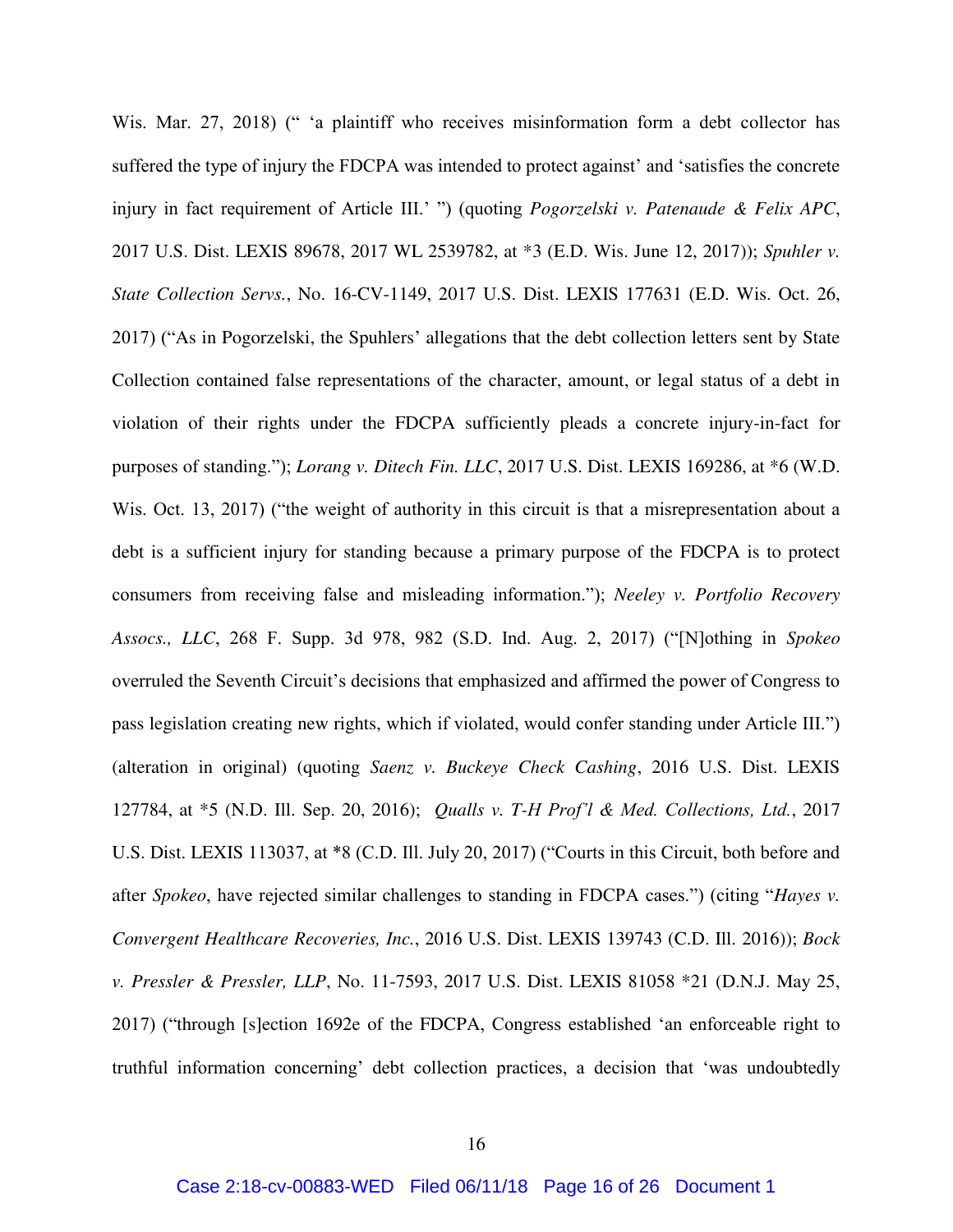Wis. Mar. 27, 2018) (" 'a plaintiff who receives misinformation form a debt collector has suffered the type of injury the FDCPA was intended to protect against' and 'satisfies the concrete injury in fact requirement of Article III.' ") (quoting *Pogorzelski v. Patenaude & Felix APC*, 2017 U.S. Dist. LEXIS 89678, 2017 WL 2539782, at \*3 (E.D. Wis. June 12, 2017)); *Spuhler v. State Collection Servs.*, No. 16-CV-1149, 2017 U.S. Dist. LEXIS 177631 (E.D. Wis. Oct. 26, 2017) ("As in Pogorzelski, the Spuhlers' allegations that the debt collection letters sent by State Collection contained false representations of the character, amount, or legal status of a debt in violation of their rights under the FDCPA sufficiently pleads a concrete injury-in-fact for purposes of standing."); *Lorang v. Ditech Fin. LLC*, 2017 U.S. Dist. LEXIS 169286, at \*6 (W.D. Wis. Oct. 13, 2017) ("the weight of authority in this circuit is that a misrepresentation about a debt is a sufficient injury for standing because a primary purpose of the FDCPA is to protect consumers from receiving false and misleading information."); *Neeley v. Portfolio Recovery Assocs., LLC*, 268 F. Supp. 3d 978, 982 (S.D. Ind. Aug. 2, 2017) ("[N]othing in *Spokeo* overruled the Seventh Circuit's decisions that emphasized and affirmed the power of Congress to pass legislation creating new rights, which if violated, would confer standing under Article III.") (alteration in original) (quoting *Saenz v. Buckeye Check Cashing*, 2016 U.S. Dist. LEXIS 127784, at \*5 (N.D. Ill. Sep. 20, 2016); *Qualls v. T-H Prof'l & Med. Collections, Ltd.*, 2017 U.S. Dist. LEXIS 113037, at \*8 (C.D. Ill. July 20, 2017) ("Courts in this Circuit, both before and after *Spokeo*, have rejected similar challenges to standing in FDCPA cases.") (citing "*Hayes v. Convergent Healthcare Recoveries, Inc.*, 2016 U.S. Dist. LEXIS 139743 (C.D. Ill. 2016)); *Bock v. Pressler & Pressler, LLP*, No. 11-7593, 2017 U.S. Dist. LEXIS 81058 \*21 (D.N.J. May 25, 2017) ("through [s]ection 1692e of the FDCPA, Congress established 'an enforceable right to truthful information concerning' debt collection practices, a decision that 'was undoubtedly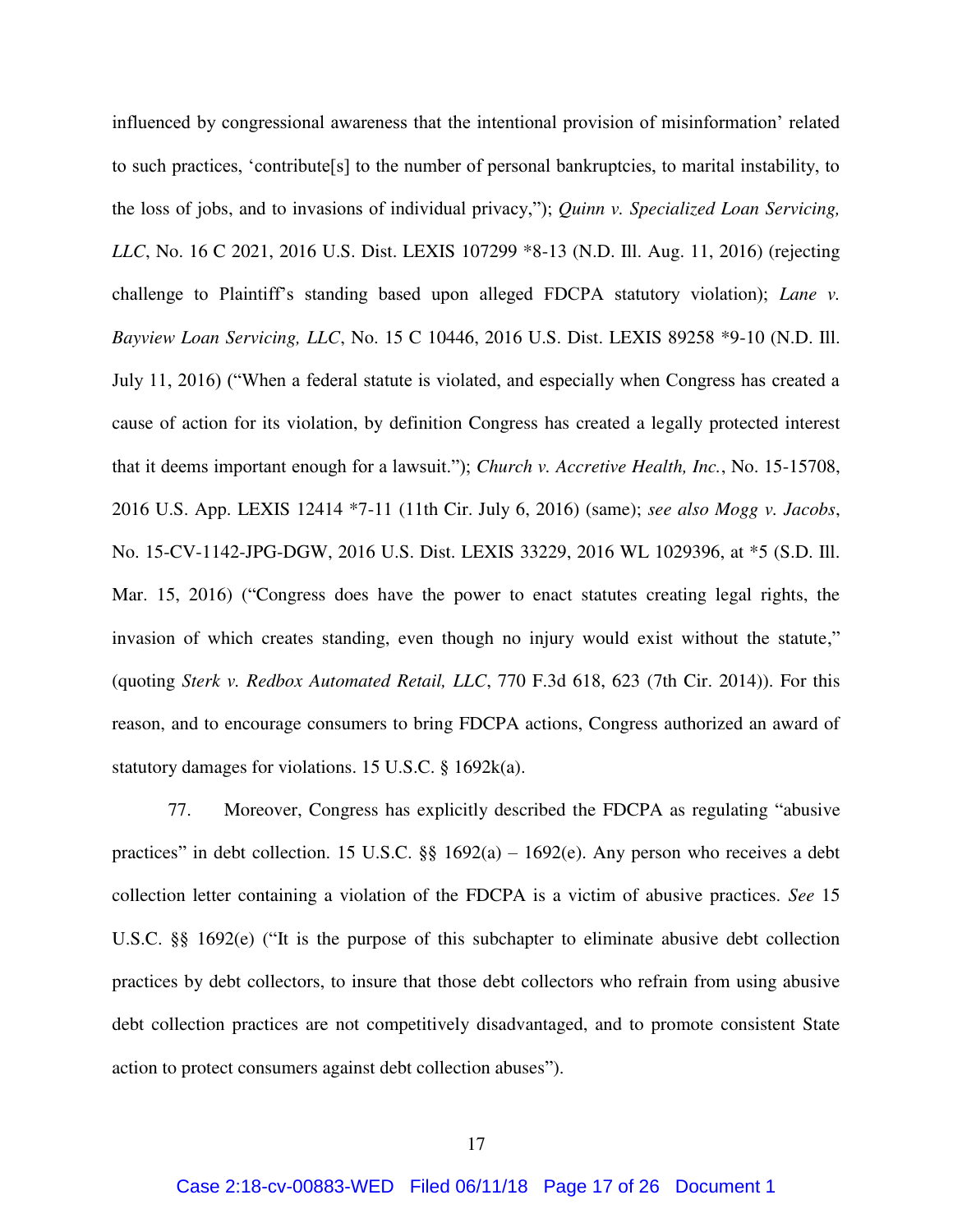influenced by congressional awareness that the intentional provision of misinformation' related to such practices, 'contribute[s] to the number of personal bankruptcies, to marital instability, to the loss of jobs, and to invasions of individual privacy,"); *Quinn v. Specialized Loan Servicing, LLC*, No. 16 C 2021, 2016 U.S. Dist. LEXIS 107299 \*8-13 (N.D. Ill. Aug. 11, 2016) (rejecting challenge to Plaintiff's standing based upon alleged FDCPA statutory violation); *Lane v. Bayview Loan Servicing, LLC*, No. 15 C 10446, 2016 U.S. Dist. LEXIS 89258 \*9-10 (N.D. Ill. July 11, 2016) ("When a federal statute is violated, and especially when Congress has created a cause of action for its violation, by definition Congress has created a legally protected interest that it deems important enough for a lawsuit."); *Church v. Accretive Health, Inc.*, No. 15-15708, 2016 U.S. App. LEXIS 12414 \*7-11 (11th Cir. July 6, 2016) (same); *see also Mogg v. Jacobs*, No. 15-CV-1142-JPG-DGW, 2016 U.S. Dist. LEXIS 33229, 2016 WL 1029396, at \*5 (S.D. Ill. Mar. 15, 2016) ("Congress does have the power to enact statutes creating legal rights, the invasion of which creates standing, even though no injury would exist without the statute," (quoting *Sterk v. Redbox Automated Retail, LLC*, 770 F.3d 618, 623 (7th Cir. 2014)). For this reason, and to encourage consumers to bring FDCPA actions, Congress authorized an award of statutory damages for violations. 15 U.S.C. § 1692k(a).

77. Moreover, Congress has explicitly described the FDCPA as regulating "abusive practices" in debt collection. 15 U.S.C.  $\S$  1692(a) – 1692(e). Any person who receives a debt collection letter containing a violation of the FDCPA is a victim of abusive practices. *See* 15 U.S.C. §§ 1692(e) ("It is the purpose of this subchapter to eliminate abusive debt collection practices by debt collectors, to insure that those debt collectors who refrain from using abusive debt collection practices are not competitively disadvantaged, and to promote consistent State action to protect consumers against debt collection abuses").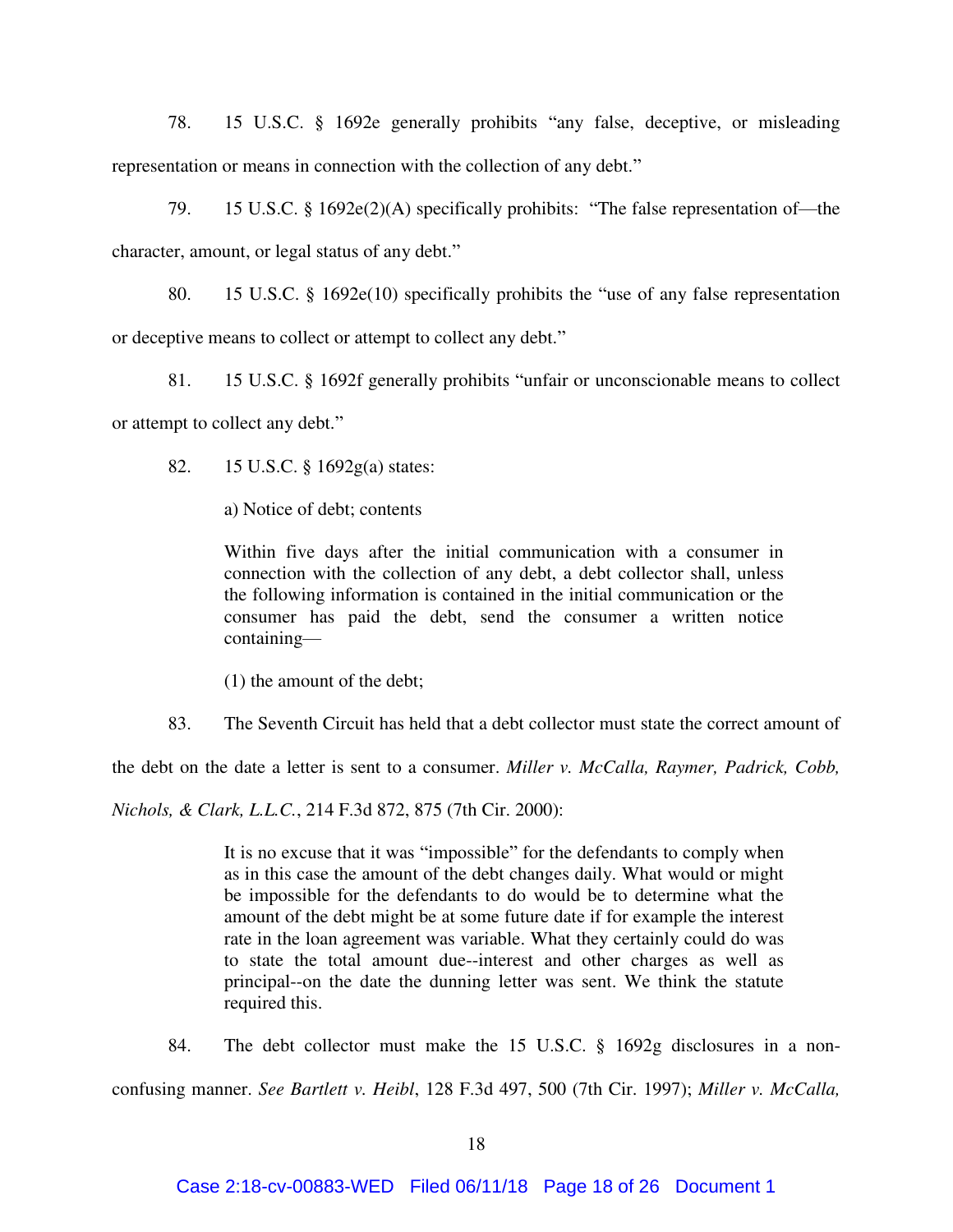78. 15 U.S.C. § 1692e generally prohibits "any false, deceptive, or misleading representation or means in connection with the collection of any debt."

79. 15 U.S.C. § 1692e(2)(A) specifically prohibits: "The false representation of—the character, amount, or legal status of any debt."

80. 15 U.S.C. § 1692e(10) specifically prohibits the "use of any false representation or deceptive means to collect or attempt to collect any debt."

81. 15 U.S.C. § 1692f generally prohibits "unfair or unconscionable means to collect or attempt to collect any debt."

82. 15 U.S.C. § 1692g(a) states:

a) Notice of debt; contents

Within five days after the initial communication with a consumer in connection with the collection of any debt, a debt collector shall, unless the following information is contained in the initial communication or the consumer has paid the debt, send the consumer a written notice containing—

(1) the amount of the debt;

83. The Seventh Circuit has held that a debt collector must state the correct amount of

the debt on the date a letter is sent to a consumer. *Miller v. McCalla, Raymer, Padrick, Cobb,* 

*Nichols, & Clark, L.L.C.*, 214 F.3d 872, 875 (7th Cir. 2000):

It is no excuse that it was "impossible" for the defendants to comply when as in this case the amount of the debt changes daily. What would or might be impossible for the defendants to do would be to determine what the amount of the debt might be at some future date if for example the interest rate in the loan agreement was variable. What they certainly could do was to state the total amount due--interest and other charges as well as principal--on the date the dunning letter was sent. We think the statute required this.

84. The debt collector must make the 15 U.S.C. § 1692g disclosures in a nonconfusing manner. *See Bartlett v. Heibl*, 128 F.3d 497, 500 (7th Cir. 1997); *Miller v. McCalla,*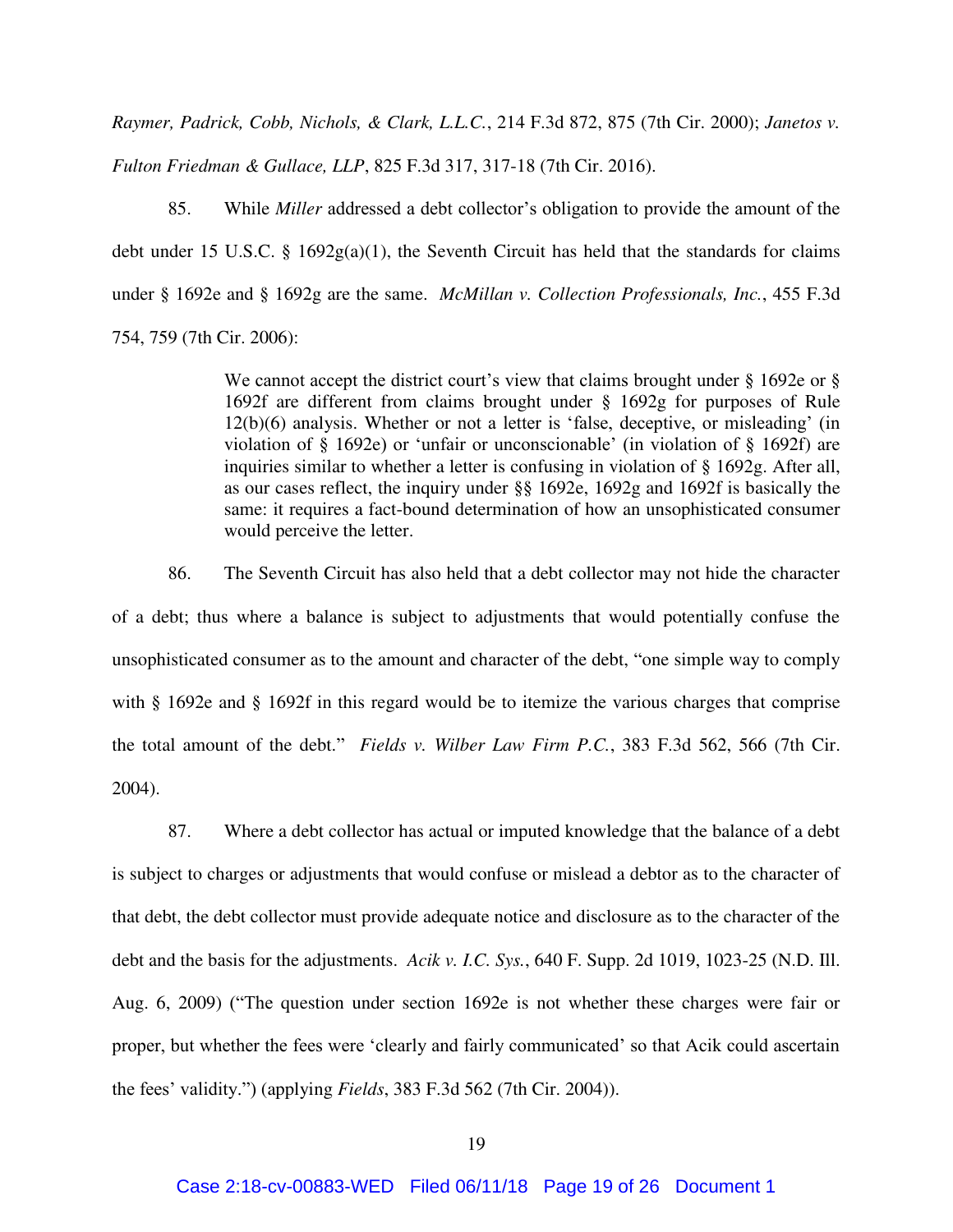*Raymer, Padrick, Cobb, Nichols, & Clark, L.L.C.*, 214 F.3d 872, 875 (7th Cir. 2000); *Janetos v. Fulton Friedman & Gullace, LLP*, 825 F.3d 317, 317-18 (7th Cir. 2016).

85. While *Miller* addressed a debt collector's obligation to provide the amount of the debt under 15 U.S.C. § 1692g(a)(1), the Seventh Circuit has held that the standards for claims under § 1692e and § 1692g are the same. *McMillan v. Collection Professionals, Inc.*, 455 F.3d 754, 759 (7th Cir. 2006):

> We cannot accept the district court's view that claims brought under § 1692e or § 1692f are different from claims brought under § 1692g for purposes of Rule 12(b)(6) analysis. Whether or not a letter is 'false, deceptive, or misleading' (in violation of § 1692e) or 'unfair or unconscionable' (in violation of § 1692f) are inquiries similar to whether a letter is confusing in violation of § 1692g. After all, as our cases reflect, the inquiry under §§ 1692e, 1692g and 1692f is basically the same: it requires a fact-bound determination of how an unsophisticated consumer would perceive the letter.

86. The Seventh Circuit has also held that a debt collector may not hide the character of a debt; thus where a balance is subject to adjustments that would potentially confuse the unsophisticated consumer as to the amount and character of the debt, "one simple way to comply with § 1692e and § 1692f in this regard would be to itemize the various charges that comprise the total amount of the debt." *Fields v. Wilber Law Firm P.C.*, 383 F.3d 562, 566 (7th Cir. 2004).

87. Where a debt collector has actual or imputed knowledge that the balance of a debt is subject to charges or adjustments that would confuse or mislead a debtor as to the character of that debt, the debt collector must provide adequate notice and disclosure as to the character of the debt and the basis for the adjustments. *Acik v. I.C. Sys.*, 640 F. Supp. 2d 1019, 1023-25 (N.D. Ill. Aug. 6, 2009) ("The question under section 1692e is not whether these charges were fair or proper, but whether the fees were 'clearly and fairly communicated' so that Acik could ascertain the fees' validity.") (applying *Fields*, 383 F.3d 562 (7th Cir. 2004)).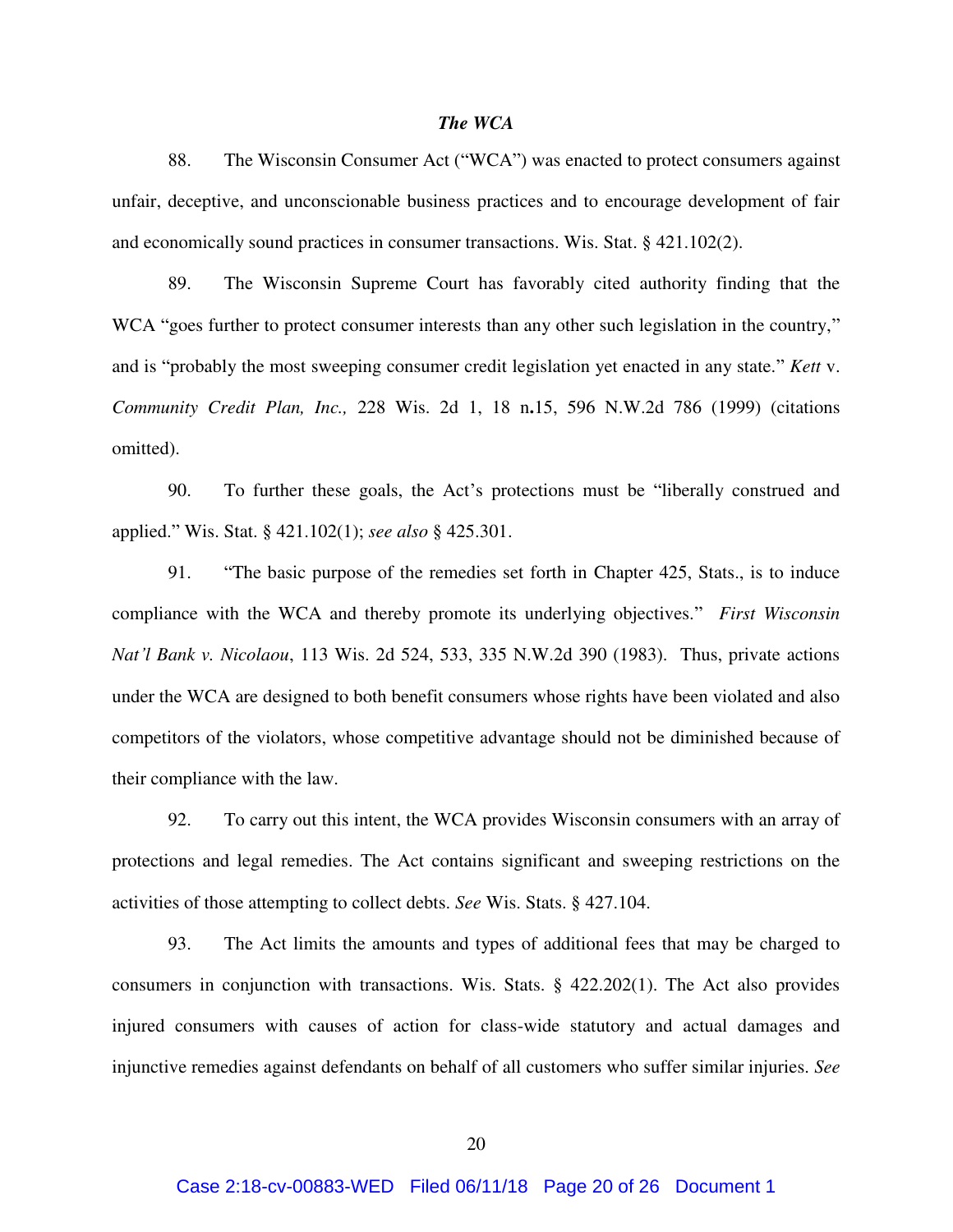### *The WCA*

88. The Wisconsin Consumer Act ("WCA") was enacted to protect consumers against unfair, deceptive, and unconscionable business practices and to encourage development of fair and economically sound practices in consumer transactions. Wis. Stat. § 421.102(2).

89. The Wisconsin Supreme Court has favorably cited authority finding that the WCA "goes further to protect consumer interests than any other such legislation in the country," and is "probably the most sweeping consumer credit legislation yet enacted in any state." *Kett* v. *Community Credit Plan, Inc.,* 228 Wis. 2d 1, 18 n**.**15, 596 N.W.2d 786 (1999) (citations omitted).

90. To further these goals, the Act's protections must be "liberally construed and applied." Wis. Stat. § 421.102(1); *see also* § 425.301.

91. "The basic purpose of the remedies set forth in Chapter 425, Stats., is to induce compliance with the WCA and thereby promote its underlying objectives." *First Wisconsin Nat'l Bank v. Nicolaou*, 113 Wis. 2d 524, 533, 335 N.W.2d 390 (1983). Thus, private actions under the WCA are designed to both benefit consumers whose rights have been violated and also competitors of the violators, whose competitive advantage should not be diminished because of their compliance with the law.

92. To carry out this intent, the WCA provides Wisconsin consumers with an array of protections and legal remedies. The Act contains significant and sweeping restrictions on the activities of those attempting to collect debts. *See* Wis. Stats. § 427.104.

93. The Act limits the amounts and types of additional fees that may be charged to consumers in conjunction with transactions. Wis. Stats. § 422.202(1). The Act also provides injured consumers with causes of action for class-wide statutory and actual damages and injunctive remedies against defendants on behalf of all customers who suffer similar injuries. *See*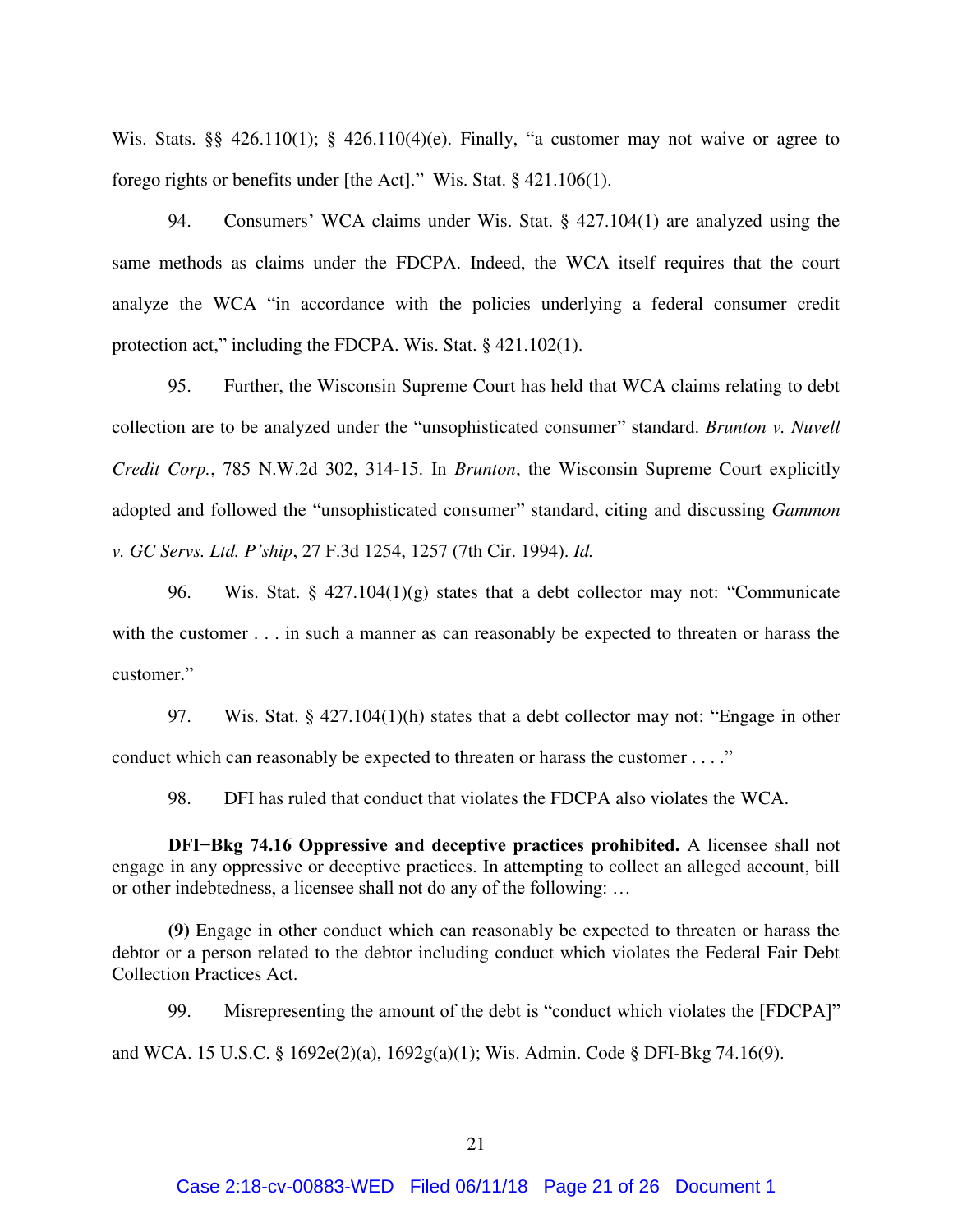Wis. Stats. §§ 426.110(1); § 426.110(4)(e). Finally, "a customer may not waive or agree to forego rights or benefits under [the Act]." Wis. Stat. § 421.106(1).

94. Consumers' WCA claims under Wis. Stat. § 427.104(1) are analyzed using the same methods as claims under the FDCPA. Indeed, the WCA itself requires that the court analyze the WCA "in accordance with the policies underlying a federal consumer credit protection act," including the FDCPA. Wis. Stat. § 421.102(1).

95. Further, the Wisconsin Supreme Court has held that WCA claims relating to debt collection are to be analyzed under the "unsophisticated consumer" standard. *Brunton v. Nuvell Credit Corp.*, 785 N.W.2d 302, 314-15. In *Brunton*, the Wisconsin Supreme Court explicitly adopted and followed the "unsophisticated consumer" standard, citing and discussing *Gammon v. GC Servs. Ltd. P'ship*, 27 F.3d 1254, 1257 (7th Cir. 1994). *Id.*

96. Wis. Stat. §  $427.104(1)(g)$  states that a debt collector may not: "Communicate with the customer . . . in such a manner as can reasonably be expected to threaten or harass the customer."

97. Wis. Stat. § 427.104(1)(h) states that a debt collector may not: "Engage in other conduct which can reasonably be expected to threaten or harass the customer . . . ."

98. DFI has ruled that conduct that violates the FDCPA also violates the WCA.

**DFI−Bkg 74.16 Oppressive and deceptive practices prohibited.** A licensee shall not engage in any oppressive or deceptive practices. In attempting to collect an alleged account, bill or other indebtedness, a licensee shall not do any of the following: …

**(9)** Engage in other conduct which can reasonably be expected to threaten or harass the debtor or a person related to the debtor including conduct which violates the Federal Fair Debt Collection Practices Act.

99. Misrepresenting the amount of the debt is "conduct which violates the [FDCPA]"

and WCA. 15 U.S.C. § 1692e(2)(a), 1692g(a)(1); Wis. Admin. Code § DFI-Bkg 74.16(9).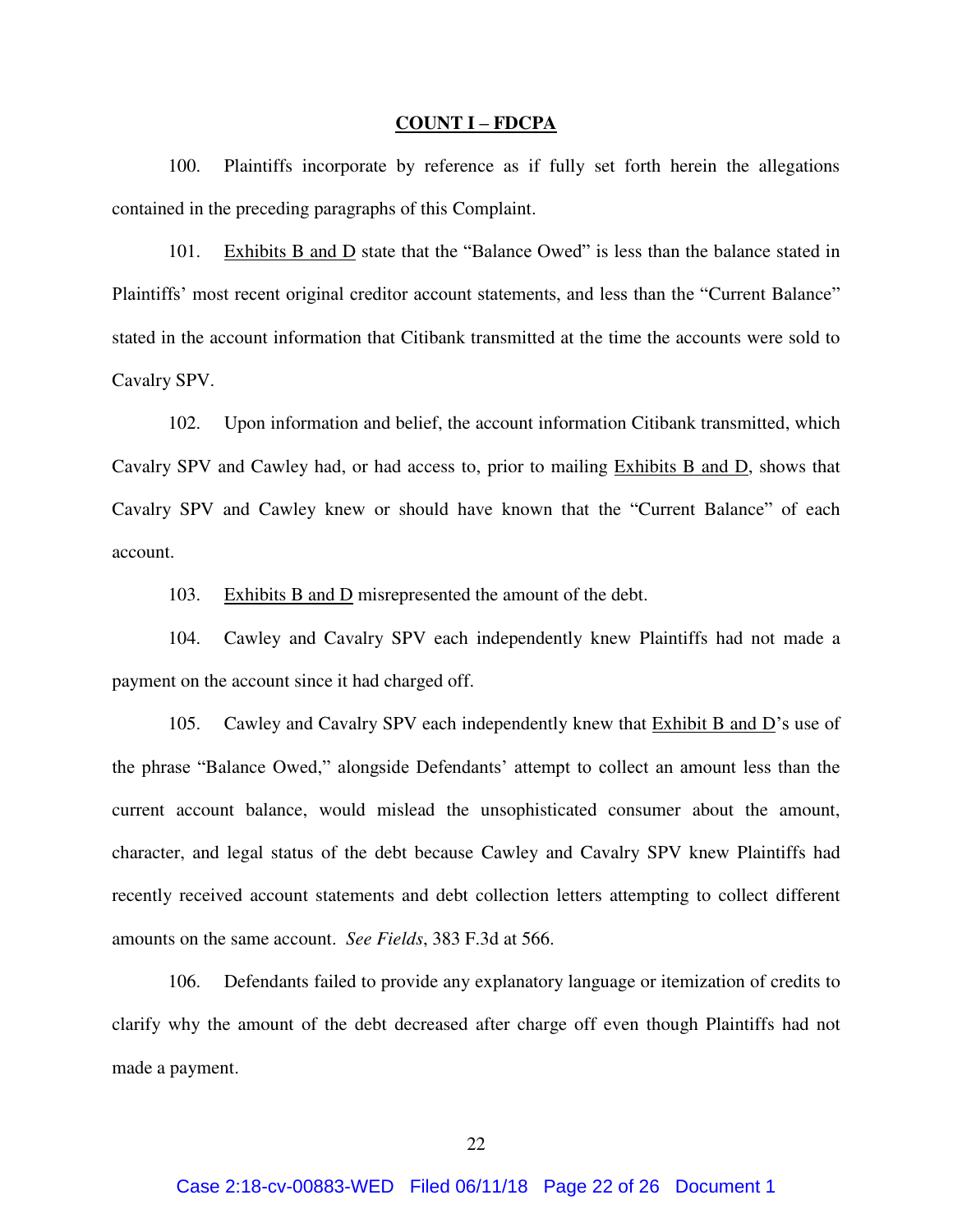#### **COUNT I – FDCPA**

100. Plaintiffs incorporate by reference as if fully set forth herein the allegations contained in the preceding paragraphs of this Complaint.

101. Exhibits B and D state that the "Balance Owed" is less than the balance stated in Plaintiffs' most recent original creditor account statements, and less than the "Current Balance" stated in the account information that Citibank transmitted at the time the accounts were sold to Cavalry SPV.

102. Upon information and belief, the account information Citibank transmitted, which Cavalry SPV and Cawley had, or had access to, prior to mailing Exhibits B and D, shows that Cavalry SPV and Cawley knew or should have known that the "Current Balance" of each account.

103. Exhibits B and D misrepresented the amount of the debt.

104. Cawley and Cavalry SPV each independently knew Plaintiffs had not made a payment on the account since it had charged off.

105. Cawley and Cavalry SPV each independently knew that  $\overline{\text{Exhibit B}}$  and  $\overline{\text{D}}$ 's use of the phrase "Balance Owed," alongside Defendants' attempt to collect an amount less than the current account balance, would mislead the unsophisticated consumer about the amount, character, and legal status of the debt because Cawley and Cavalry SPV knew Plaintiffs had recently received account statements and debt collection letters attempting to collect different amounts on the same account. *See Fields*, 383 F.3d at 566.

106. Defendants failed to provide any explanatory language or itemization of credits to clarify why the amount of the debt decreased after charge off even though Plaintiffs had not made a payment.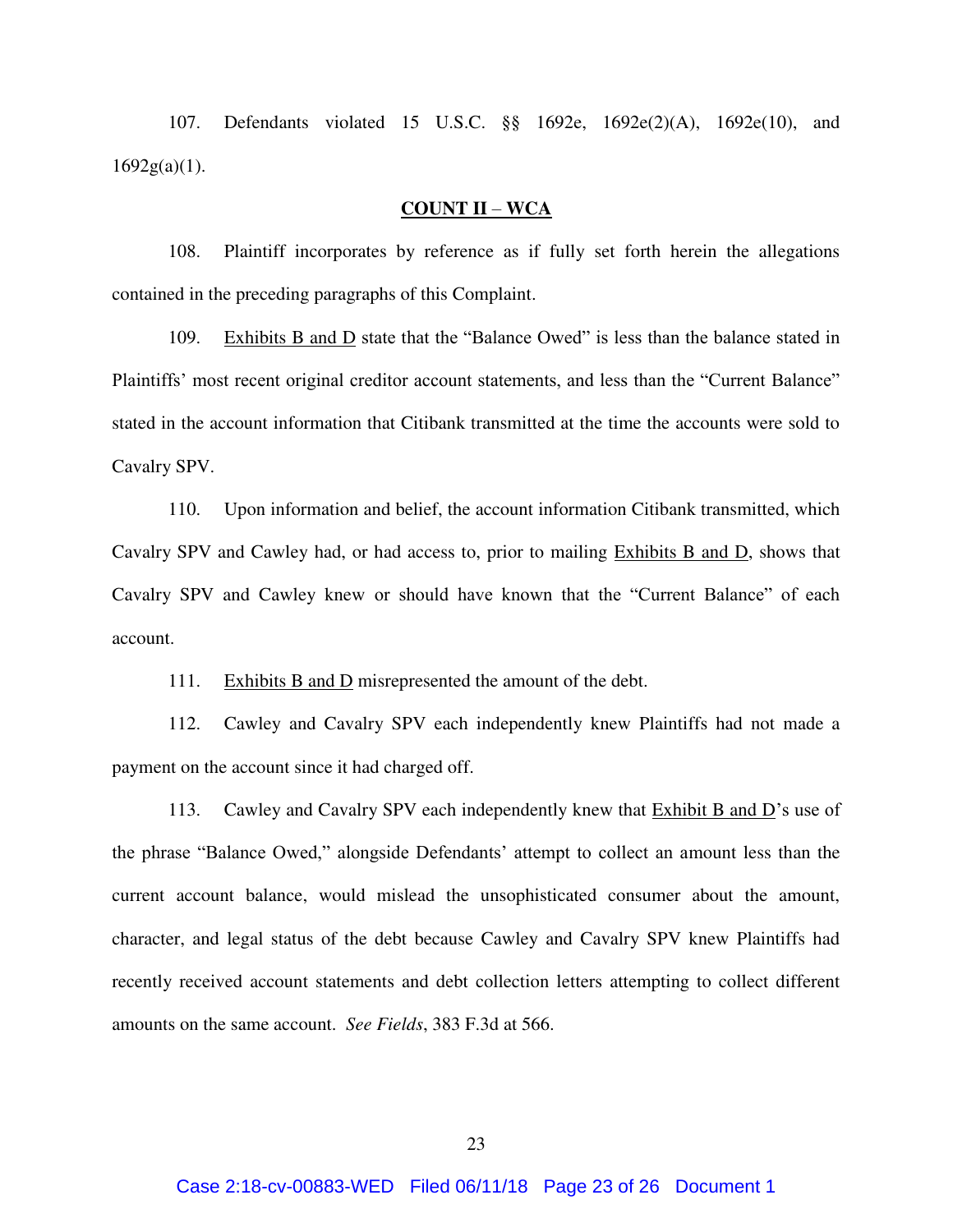107. Defendants violated 15 U.S.C. §§ 1692e, 1692e(2)(A), 1692e(10), and  $1692g(a)(1)$ .

## **COUNT II** – **WCA**

108. Plaintiff incorporates by reference as if fully set forth herein the allegations contained in the preceding paragraphs of this Complaint.

109. Exhibits B and D state that the "Balance Owed" is less than the balance stated in Plaintiffs' most recent original creditor account statements, and less than the "Current Balance" stated in the account information that Citibank transmitted at the time the accounts were sold to Cavalry SPV.

110. Upon information and belief, the account information Citibank transmitted, which Cavalry SPV and Cawley had, or had access to, prior to mailing Exhibits B and D, shows that Cavalry SPV and Cawley knew or should have known that the "Current Balance" of each account.

111. Exhibits B and D misrepresented the amount of the debt.

112. Cawley and Cavalry SPV each independently knew Plaintiffs had not made a payment on the account since it had charged off.

113. Cawley and Cavalry SPV each independently knew that Exhibit B and D's use of the phrase "Balance Owed," alongside Defendants' attempt to collect an amount less than the current account balance, would mislead the unsophisticated consumer about the amount, character, and legal status of the debt because Cawley and Cavalry SPV knew Plaintiffs had recently received account statements and debt collection letters attempting to collect different amounts on the same account. *See Fields*, 383 F.3d at 566.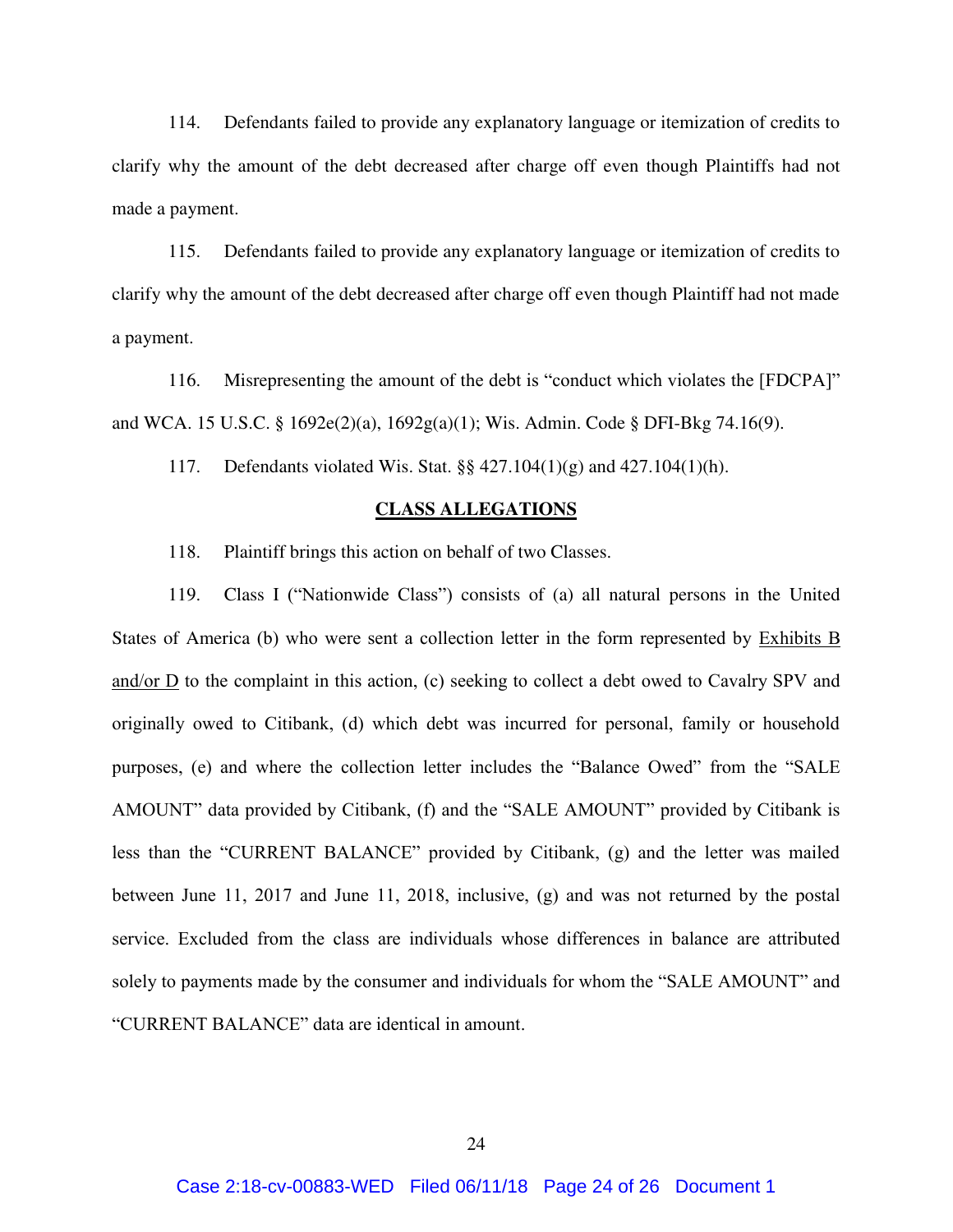114. Defendants failed to provide any explanatory language or itemization of credits to clarify why the amount of the debt decreased after charge off even though Plaintiffs had not made a payment.

115. Defendants failed to provide any explanatory language or itemization of credits to clarify why the amount of the debt decreased after charge off even though Plaintiff had not made a payment.

116. Misrepresenting the amount of the debt is "conduct which violates the [FDCPA]" and WCA. 15 U.S.C. § 1692e(2)(a), 1692g(a)(1); Wis. Admin. Code § DFI-Bkg 74.16(9).

117. Defendants violated Wis. Stat. §§ 427.104(1)(g) and 427.104(1)(h).

### **CLASS ALLEGATIONS**

118. Plaintiff brings this action on behalf of two Classes.

119. Class I ("Nationwide Class") consists of (a) all natural persons in the United States of America (b) who were sent a collection letter in the form represented by Exhibits B and/or D to the complaint in this action, (c) seeking to collect a debt owed to Cavalry SPV and originally owed to Citibank, (d) which debt was incurred for personal, family or household purposes, (e) and where the collection letter includes the "Balance Owed" from the "SALE AMOUNT" data provided by Citibank, (f) and the "SALE AMOUNT" provided by Citibank is less than the "CURRENT BALANCE" provided by Citibank, (g) and the letter was mailed between June 11, 2017 and June 11, 2018, inclusive, (g) and was not returned by the postal service. Excluded from the class are individuals whose differences in balance are attributed solely to payments made by the consumer and individuals for whom the "SALE AMOUNT" and "CURRENT BALANCE" data are identical in amount.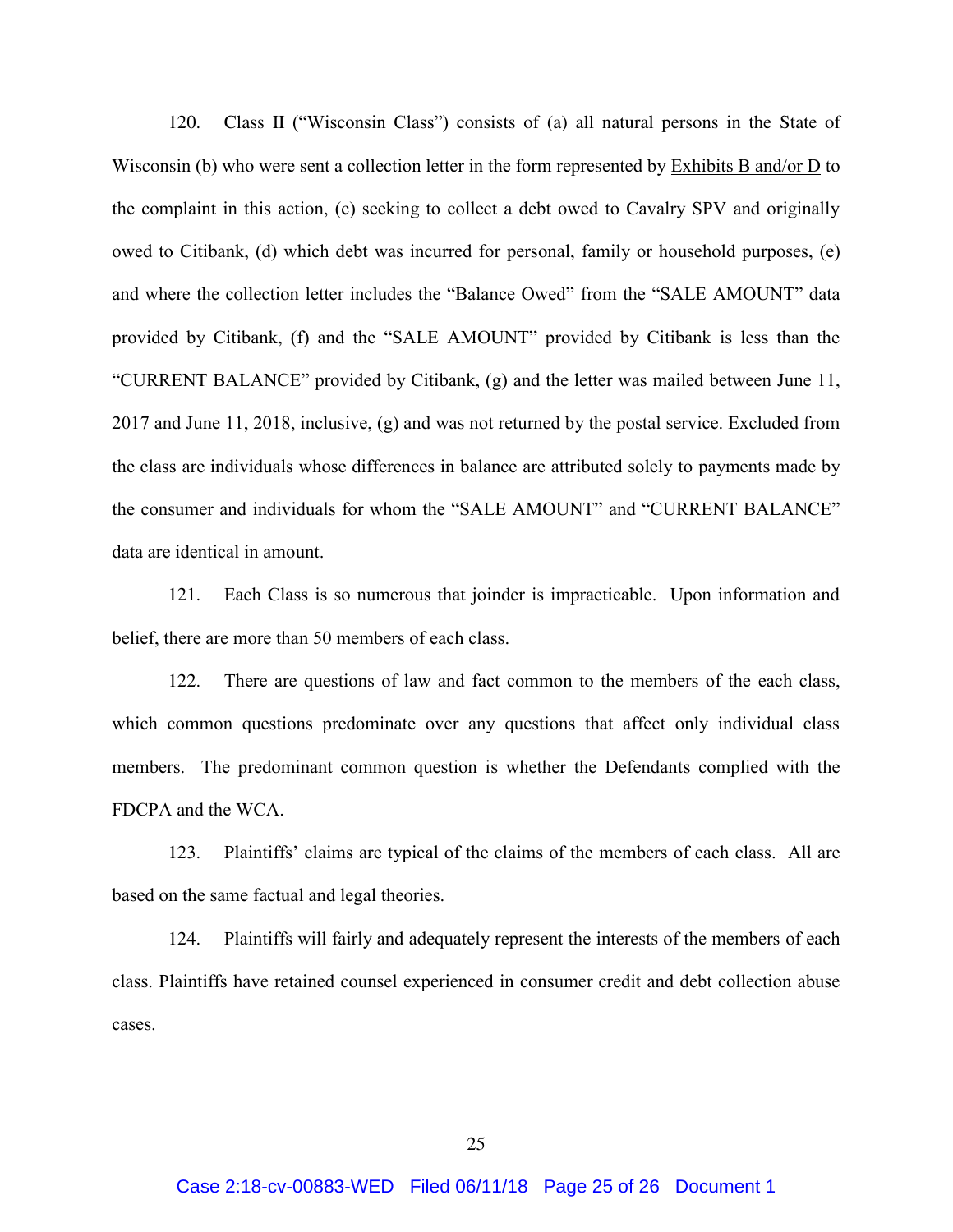120. Class II ("Wisconsin Class") consists of (a) all natural persons in the State of Wisconsin (b) who were sent a collection letter in the form represented by Exhibits B and/or D to the complaint in this action, (c) seeking to collect a debt owed to Cavalry SPV and originally owed to Citibank, (d) which debt was incurred for personal, family or household purposes, (e) and where the collection letter includes the "Balance Owed" from the "SALE AMOUNT" data provided by Citibank, (f) and the "SALE AMOUNT" provided by Citibank is less than the "CURRENT BALANCE" provided by Citibank, (g) and the letter was mailed between June 11, 2017 and June 11, 2018, inclusive, (g) and was not returned by the postal service. Excluded from the class are individuals whose differences in balance are attributed solely to payments made by the consumer and individuals for whom the "SALE AMOUNT" and "CURRENT BALANCE" data are identical in amount.

121. Each Class is so numerous that joinder is impracticable. Upon information and belief, there are more than 50 members of each class.

122. There are questions of law and fact common to the members of the each class, which common questions predominate over any questions that affect only individual class members. The predominant common question is whether the Defendants complied with the FDCPA and the WCA.

123. Plaintiffs' claims are typical of the claims of the members of each class. All are based on the same factual and legal theories.

124. Plaintiffs will fairly and adequately represent the interests of the members of each class. Plaintiffs have retained counsel experienced in consumer credit and debt collection abuse cases.